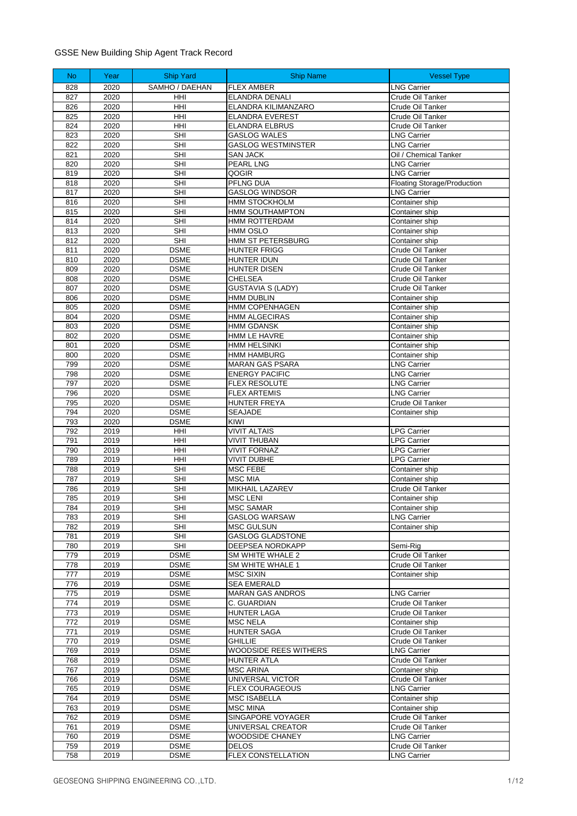## GSSE New Building Ship Agent Track Record

| <b>No</b>  | Year         | <b>Ship Yard</b>           | <b>Ship Name</b>                                 | <b>Vessel Type</b>                       |
|------------|--------------|----------------------------|--------------------------------------------------|------------------------------------------|
| 828        | 2020         | SAMHO / DAEHAN             | <b>FLEX AMBER</b>                                | <b>LNG Carrier</b>                       |
| 827        | 2020         | HHI                        | <b>ELANDRA DENALI</b>                            | Crude Oil Tanker                         |
| 826        | 2020         | HHI                        | ELANDRA KILIMANZARO                              | Crude Oil Tanker                         |
| 825        | 2020         | HHI                        | <b>ELANDRA EVEREST</b>                           | Crude Oil Tanker                         |
| 824        | 2020<br>2020 | HHI                        | <b>ELANDRA ELBRUS</b>                            | Crude Oil Tanker                         |
| 823<br>822 | 2020         | <b>SHI</b><br><b>SHI</b>   | <b>GASLOG WALES</b><br><b>GASLOG WESTMINSTER</b> | <b>LNG Carrier</b><br><b>LNG Carrier</b> |
| 821        | 2020         | <b>SHI</b>                 | <b>SAN JACK</b>                                  | Oil / Chemical Tanker                    |
| 820        | 2020         | <b>SHI</b>                 | PEARL LNG                                        | <b>LNG Carrier</b>                       |
| 819        | 2020         | SHI                        | QOGIR                                            | <b>LNG Carrier</b>                       |
| 818        | 2020         | <b>SHI</b>                 | PFLNG DUA                                        | Floating Storage/Production              |
| 817        | 2020         | <b>SHI</b>                 | <b>GASLOG WINDSOR</b>                            | <b>LNG Carrier</b>                       |
| 816        | 2020         | <b>SHI</b>                 | <b>HMM STOCKHOLM</b>                             | Container ship                           |
| 815        | 2020         | <b>SHI</b>                 | HMM SOUTHAMPTON                                  | Container ship                           |
| 814        | 2020         | SHI                        | HMM ROTTERDAM                                    | Container ship                           |
| 813        | 2020         | <b>SHI</b>                 | <b>HMM OSLO</b>                                  | Container ship                           |
| 812        | 2020         | <b>SHI</b>                 | HMM ST PETERSBURG                                | Container ship                           |
| 811<br>810 | 2020<br>2020 | <b>DSME</b><br><b>DSME</b> | <b>HUNTER FRIGG</b><br><b>HUNTER IDUN</b>        | Crude Oil Tanker<br>Crude Oil Tanker     |
| 809        | 2020         | <b>DSME</b>                | <b>HUNTER DISEN</b>                              | Crude Oil Tanker                         |
| 808        | 2020         | <b>DSME</b>                | <b>CHELSEA</b>                                   | Crude Oil Tanker                         |
| 807        | 2020         | <b>DSME</b>                | <b>GUSTAVIA S (LADY)</b>                         | Crude Oil Tanker                         |
| 806        | 2020         | <b>DSME</b>                | <b>HMM DUBLIN</b>                                | Container ship                           |
| 805        | 2020         | <b>DSME</b>                | HMM COPENHAGEN                                   | Container ship                           |
| 804        | 2020         | <b>DSME</b>                | <b>HMM ALGECIRAS</b>                             | Container ship                           |
| 803        | 2020         | <b>DSME</b>                | <b>HMM GDANSK</b>                                | Container ship                           |
| 802        | 2020         | <b>DSME</b>                | HMM LE HAVRE                                     | Container ship                           |
| 801        | 2020         | <b>DSME</b>                | HMM HELSINKI                                     | Container ship                           |
| 800<br>799 | 2020<br>2020 | <b>DSME</b><br><b>DSME</b> | HMM HAMBURG<br><b>MARAN GAS PSARA</b>            | Container ship<br><b>LNG Carrier</b>     |
| 798        | 2020         | <b>DSME</b>                | <b>ENERGY PACIFIC</b>                            | <b>LNG Carrier</b>                       |
| 797        | 2020         | <b>DSME</b>                | <b>FLEX RESOLUTE</b>                             | <b>LNG Carrier</b>                       |
| 796        | 2020         | <b>DSME</b>                | <b>FLEX ARTEMIS</b>                              | <b>LNG Carrier</b>                       |
| 795        | 2020         | <b>DSME</b>                | <b>HUNTER FREYA</b>                              | Crude Oil Tanker                         |
| 794        | 2020         | <b>DSME</b>                | SEAJADE                                          | Container ship                           |
| 793        | 2020         | <b>DSME</b>                | KIWI                                             |                                          |
| 792        | 2019         | HHI                        | <b>VIVIT ALTAIS</b>                              | <b>LPG Carrier</b>                       |
| 791        | 2019         | HHI                        | <b>VIVIT THUBAN</b>                              | <b>LPG Carrier</b>                       |
| 790        | 2019         | HHI                        | <b>VIVIT FORNAZ</b>                              | <b>LPG Carrier</b>                       |
| 789<br>788 | 2019<br>2019 | HHI<br><b>SHI</b>          | <b>VIVIT DUBHE</b><br>MSC FEBE                   | <b>LPG Carrier</b><br>Container ship     |
| 787        | 2019         | <b>SHI</b>                 | <b>MSC MIA</b>                                   | Container ship                           |
| 786        | 2019         | SHI                        | MIKHAIL LAZAREV                                  | Crude Oil Tanker                         |
| 785        | 2019         | <b>SHI</b>                 | <b>MSC LENI</b>                                  | Container ship                           |
| 784        | 2019         | SHI                        | <b>MSC SAMAR</b>                                 | Container ship                           |
| 783        | 2019         | SHI                        | <b>GASLOG WARSAW</b>                             | <b>LNG Carrier</b>                       |
| 782        | 2019         | <b>SHI</b>                 | <b>MSC GULSUN</b>                                | Container ship                           |
| 781        | 2019         | SHI                        | <b>GASLOG GLADSTONE</b>                          |                                          |
| 780        | 2019         | SHI                        | DEEPSEA NORDKAPP                                 | Semi-Rig                                 |
| 779<br>778 | 2019<br>2019 | <b>DSME</b><br><b>DSME</b> | SM WHITE WHALE 2<br>SM WHITE WHALE 1             | Crude Oil Tanker<br>Crude Oil Tanker     |
| 777        | 2019         | <b>DSME</b>                | <b>MSC SIXIN</b>                                 | Container ship                           |
| 776        | 2019         | <b>DSME</b>                | <b>SEA EMERALD</b>                               |                                          |
| 775        | 2019         | <b>DSME</b>                | <b>MARAN GAS ANDROS</b>                          | <b>LNG Carrier</b>                       |
| 774        | 2019         | <b>DSME</b>                | C. GUARDIAN                                      | Crude Oil Tanker                         |
| 773        | 2019         | <b>DSME</b>                | <b>HUNTER LAGA</b>                               | Crude Oil Tanker                         |
| 772        | 2019         | <b>DSME</b>                | <b>MSC NELA</b>                                  | Container ship                           |
| 771        | 2019         | <b>DSME</b>                | <b>HUNTER SAGA</b>                               | Crude Oil Tanker                         |
| 770        | 2019         | <b>DSME</b>                | <b>GHILLIE</b>                                   | Crude Oil Tanker                         |
| 769        | 2019         | <b>DSME</b>                | WOODSIDE REES WITHERS                            | <b>LNG Carrier</b>                       |
| 768<br>767 | 2019<br>2019 | <b>DSME</b><br><b>DSME</b> | HUNTER ATLA<br><b>MSC ARINA</b>                  | Crude Oil Tanker                         |
| 766        | 2019         | <b>DSME</b>                | UNIVERSAL VICTOR                                 | Container ship<br>Crude Oil Tanker       |
| 765        | 2019         | <b>DSME</b>                | <b>FLEX COURAGEOUS</b>                           | LNG Carrier                              |
| 764        | 2019         | <b>DSME</b>                | <b>MSC ISABELLA</b>                              | Container ship                           |
| 763        | 2019         | <b>DSME</b>                | <b>MSC MINA</b>                                  | Container ship                           |
| 762        | 2019         | <b>DSME</b>                | SINGAPORE VOYAGER                                | Crude Oil Tanker                         |
| 761        | 2019         | <b>DSME</b>                | UNIVERSAL CREATOR                                | Crude Oil Tanker                         |
| 760        | 2019         | <b>DSME</b>                | WOODSIDE CHANEY                                  | <b>LNG Carrier</b>                       |
| 759        | 2019         | <b>DSME</b>                | <b>DELOS</b>                                     | Crude Oil Tanker                         |
| 758        | 2019         | <b>DSME</b>                | <b>FLEX CONSTELLATION</b>                        | <b>LNG Carrier</b>                       |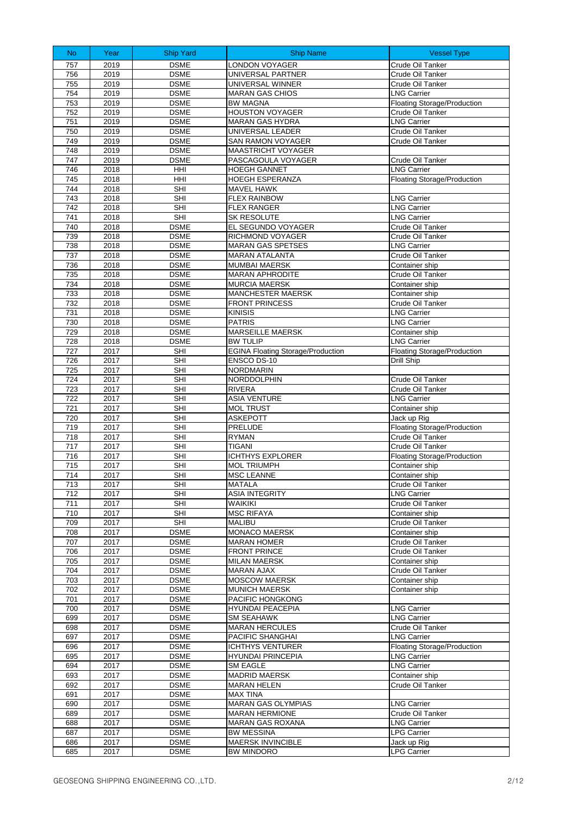| <b>No</b>  | Year         | <b>Ship Yard</b>           | <b>Ship Name</b>                                        | <b>Vessel Type</b>                        |
|------------|--------------|----------------------------|---------------------------------------------------------|-------------------------------------------|
| 757        | 2019         | <b>DSME</b>                | <b>LONDON VOYAGER</b>                                   | Crude Oil Tanker                          |
| 756        | 2019         | <b>DSME</b>                | UNIVERSAL PARTNER                                       | Crude Oil Tanker                          |
| 755        | 2019         | <b>DSME</b>                | UNIVERSAL WINNER                                        | Crude Oil Tanker                          |
| 754        | 2019         | <b>DSME</b>                | <b>MARAN GAS CHIOS</b>                                  | <b>LNG Carrier</b>                        |
| 753        | 2019         | <b>DSME</b>                | <b>BW MAGNA</b>                                         | <b>Floating Storage/Production</b>        |
| 752        | 2019         | <b>DSME</b>                | <b>HOUSTON VOYAGER</b>                                  | Crude Oil Tanker                          |
| 751        | 2019         | <b>DSME</b>                | MARAN GAS HYDRA                                         | <b>LNG Carrier</b>                        |
| 750<br>749 | 2019<br>2019 | <b>DSME</b><br><b>DSME</b> | UNIVERSAL LEADER                                        | Crude Oil Tanker                          |
| 748        | 2019         | <b>DSME</b>                | SAN RAMON VOYAGER<br><b>MAASTRICHT VOYAGER</b>          | Crude Oil Tanker                          |
| 747        | 2019         | <b>DSME</b>                | PASCAGOULA VOYAGER                                      | Crude Oil Tanker                          |
| 746        | 2018         | HHI                        | <b>HOEGH GANNET</b>                                     | <b>LNG Carrier</b>                        |
| 745        | 2018         | HHI                        | HOEGH ESPERANZA                                         | <b>Floating Storage/Production</b>        |
| 744        | 2018         | SHI                        | MAVEL HAWK                                              |                                           |
| 743        | 2018         | <b>SHI</b>                 | <b>FLEX RAINBOW</b>                                     | <b>LNG Carrier</b>                        |
| 742        | 2018         | SHI                        | <b>FLEX RANGER</b>                                      | <b>LNG Carrier</b>                        |
| 741        | 2018         | <b>SHI</b>                 | SK RESOLUTE                                             | <b>LNG Carrier</b>                        |
| 740        | 2018         | <b>DSME</b>                | EL SEGUNDO VOYAGER                                      | Crude Oil Tanker                          |
| 739        | 2018         | <b>DSME</b>                | RICHMOND VOYAGER                                        | Crude Oil Tanker                          |
| 738        | 2018         | <b>DSME</b>                | <b>MARAN GAS SPETSES</b>                                | <b>LNG Carrier</b>                        |
| 737<br>736 | 2018<br>2018 | <b>DSME</b><br><b>DSME</b> | MARAN ATALANTA<br><b>MUMBAI MAERSK</b>                  | Crude Oil Tanker<br>Container ship        |
| 735        | 2018         | <b>DSME</b>                | <b>MARAN APHRODITE</b>                                  | Crude Oil Tanker                          |
| 734        | 2018         | <b>DSME</b>                | <b>MURCIA MAERSK</b>                                    | Container ship                            |
| 733        | 2018         | <b>DSME</b>                | MANCHESTER MAERSK                                       | Container ship                            |
| 732        | 2018         | <b>DSME</b>                | <b>FRONT PRINCESS</b>                                   | Crude Oil Tanker                          |
| 731        | 2018         | <b>DSME</b>                | <b>KINISIS</b>                                          | <b>LNG Carrier</b>                        |
| 730        | 2018         | <b>DSME</b>                | <b>PATRIS</b>                                           | <b>LNG Carrier</b>                        |
| 729        | 2018         | <b>DSME</b>                | <b>MARSEILLE MAERSK</b>                                 | Container ship                            |
| 728        | 2018         | <b>DSME</b>                | <b>BW TULIP</b>                                         | <b>LNG Carrier</b>                        |
| 727<br>726 | 2017<br>2017 | <b>SHI</b><br>SHI          | <b>EGINA Floating Storage/Production</b><br>ENSCO DS-10 | Floating Storage/Production<br>Drill Ship |
| 725        | 2017         | <b>SHI</b>                 | <b>NORDMARIN</b>                                        |                                           |
| 724        | 2017         | <b>SHI</b>                 | NORDDOLPHIN                                             | Crude Oil Tanker                          |
| 723        | 2017         | <b>SHI</b>                 | <b>RIVERA</b>                                           | Crude Oil Tanker                          |
| 722        | 2017         | SHI                        | <b>ASIA VENTURE</b>                                     | <b>LNG Carrier</b>                        |
| 721        | 2017         | <b>SHI</b>                 | <b>MOL TRUST</b>                                        | Container ship                            |
| 720        | 2017         | <b>SHI</b>                 | <b>ASKEPOTT</b>                                         | Jack up Rig                               |
| 719        | 2017         | <b>SHI</b>                 | PRELUDE                                                 | <b>Floating Storage/Production</b>        |
| 718<br>717 | 2017<br>2017 | <b>SHI</b><br>SHI          | <b>RYMAN</b><br><b>TIGANI</b>                           | Crude Oil Tanker<br>Crude Oil Tanker      |
| 716        | 2017         | <b>SHI</b>                 | <b>ICHTHYS EXPLORER</b>                                 | Floating Storage/Production               |
| 715        | 2017         | SHI                        | <b>MOL TRIUMPH</b>                                      | Container ship                            |
| 714        | 2017         | <b>SHI</b>                 | <b>MSC LEANNE</b>                                       | Container ship                            |
| 713        | 2017         | <b>SHI</b>                 | MATALA                                                  | Crude Oil Tanker                          |
| 712        | 2017         | SHI                        | <b>ASIA INTEGRITY</b>                                   | <b>LNG Carrier</b>                        |
| 711        | 2017         | SHI                        | WAIKIKI                                                 | Crude Oil Tanker                          |
| 710        | 2017         | SHI                        | <b>MSC RIFAYA</b>                                       | Container ship                            |
| 709<br>708 | 2017<br>2017 | SHI<br><b>DSME</b>         | <b>MALIBU</b><br>MONACO MAERSK                          | Crude Oil Tanker                          |
| 707        | 2017         | <b>DSME</b>                | <b>MARAN HOMER</b>                                      | Container ship<br>Crude Oil Tanker        |
| 706        | 2017         | <b>DSME</b>                | <b>FRONT PRINCE</b>                                     | Crude Oil Tanker                          |
| 705        | 2017         | <b>DSME</b>                | <b>MILAN MAERSK</b>                                     | Container ship                            |
| 704        | 2017         | <b>DSME</b>                | <b>MARAN AJAX</b>                                       | Crude Oil Tanker                          |
| 703        | 2017         | <b>DSME</b>                | <b>MOSCOW MAERSK</b>                                    | Container ship                            |
| 702        | 2017         | <b>DSME</b>                | <b>MUNICH MAERSK</b>                                    | Container ship                            |
| 701        | 2017         | <b>DSME</b>                | PACIFIC HONGKONG                                        |                                           |
| 700        | 2017         | <b>DSME</b>                | HYUNDAI PEACEPIA                                        | <b>LNG Carrier</b>                        |
| 699<br>698 | 2017<br>2017 | <b>DSME</b><br><b>DSME</b> | <b>SM SEAHAWK</b><br><b>MARAN HERCULES</b>              | <b>LNG Carrier</b><br>Crude Oil Tanker    |
| 697        | 2017         | <b>DSME</b>                | PACIFIC SHANGHAI                                        | <b>LNG Carrier</b>                        |
| 696        | 2017         | <b>DSME</b>                | <b>ICHTHYS VENTURER</b>                                 | Floating Storage/Production               |
| 695        | 2017         | <b>DSME</b>                | HYUNDAI PRINCEPIA                                       | <b>LNG Carrier</b>                        |
| 694        | 2017         | <b>DSME</b>                | <b>SM EAGLE</b>                                         | <b>LNG Carrier</b>                        |
| 693        | 2017         | <b>DSME</b>                | <b>MADRID MAERSK</b>                                    | Container ship                            |
| 692        | 2017         | <b>DSME</b>                | MARAN HELEN                                             | Crude Oil Tanker                          |
| 691        | 2017         | <b>DSME</b>                | <b>MAX TINA</b>                                         |                                           |
| 690<br>689 | 2017<br>2017 | <b>DSME</b><br><b>DSME</b> | MARAN GAS OLYMPIAS<br><b>MARAN HERMIONE</b>             | <b>LNG Carrier</b>                        |
| 688        | 2017         | <b>DSME</b>                | MARAN GAS ROXANA                                        | Crude Oil Tanker<br><b>LNG Carrier</b>    |
| 687        | 2017         | <b>DSME</b>                | <b>BW MESSINA</b>                                       | <b>LPG Carrier</b>                        |
| 686        | 2017         | <b>DSME</b>                | MAERSK INVINCIBLE                                       | Jack up Rig                               |
| 685        | 2017         | <b>DSME</b>                | <b>BW MINDORO</b>                                       | <b>LPG Carrier</b>                        |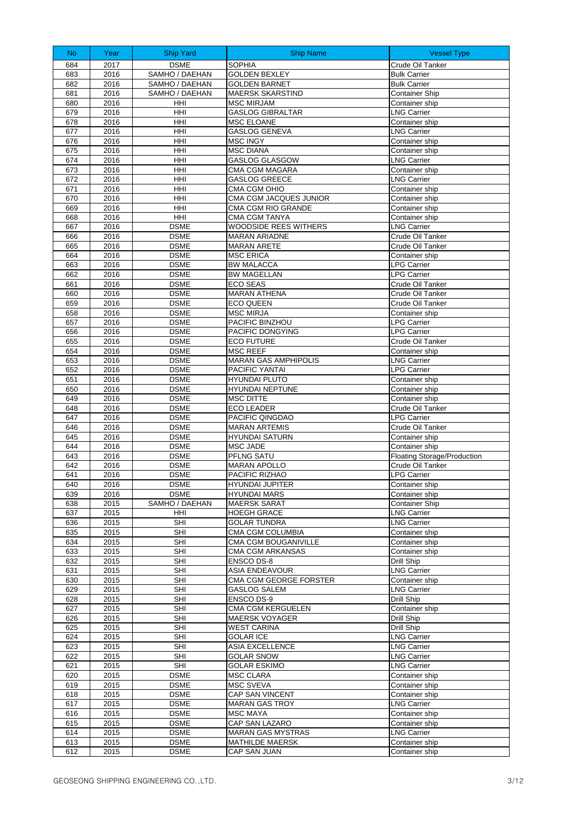| No         | Year         | <b>Ship Yard</b>           | <b>Ship Name</b>                               | <b>Vessel Type</b>                     |
|------------|--------------|----------------------------|------------------------------------------------|----------------------------------------|
| 684        | 2017         | <b>DSME</b>                | <b>SOPHIA</b>                                  | Crude Oil Tanker                       |
| 683        | 2016         | SAMHO / DAEHAN             | <b>GOLDEN BEXLEY</b>                           | <b>Bulk Carrier</b>                    |
| 682        | 2016         | SAMHO / DAEHAN             | <b>GOLDEN BARNET</b>                           | <b>Bulk Carrier</b>                    |
| 681        | 2016         | SAMHO / DAEHAN             | <b>MAERSK SKARSTIND</b>                        | <b>Container Ship</b>                  |
| 680<br>679 | 2016<br>2016 | HHI<br>HHI                 | <b>MSC MIRJAM</b><br><b>GASLOG GIBRALTAR</b>   | Container ship<br><b>LNG Carrier</b>   |
| 678        | 2016         | HHI                        | <b>MSC ELOANE</b>                              | Container ship                         |
| 677        | 2016         | HHI                        | <b>GASLOG GENEVA</b>                           | <b>LNG Carrier</b>                     |
| 676        | 2016         | HHI                        | <b>MSC INGY</b>                                | Container ship                         |
| 675        | 2016         | HHI                        | MSC DIANA                                      | Container ship                         |
| 674        | 2016         | HHI                        | GASLOG GLASGOW                                 | <b>LNG Carrier</b>                     |
| 673        | 2016         | HHI                        | CMA CGM MAGARA                                 | Container ship                         |
| 672        | 2016         | HHI                        | <b>GASLOG GREECE</b>                           | <b>LNG Carrier</b>                     |
| 671        | 2016         | HHI                        | CMA CGM OHIO                                   | Container ship                         |
| 670<br>669 | 2016<br>2016 | HHI<br>HHI                 | CMA CGM JACQUES JUNIOR<br>CMA CGM RIO GRANDE   | Container ship<br>Container ship       |
| 668        | 2016         | HHI                        | CMA CGM TANYA                                  | Container ship                         |
| 667        | 2016         | <b>DSME</b>                | WOODSIDE REES WITHERS                          | <b>LNG Carrier</b>                     |
| 666        | 2016         | <b>DSME</b>                | <b>MARAN ARIADNE</b>                           | Crude Oil Tanker                       |
| 665        | 2016         | <b>DSME</b>                | <b>MARAN ARETE</b>                             | Crude Oil Tanker                       |
| 664        | 2016         | <b>DSME</b>                | <b>MSC ERICA</b>                               | Container ship                         |
| 663        | 2016         | <b>DSME</b>                | <b>BW MALACCA</b>                              | <b>LPG Carrier</b>                     |
| 662        | 2016         | <b>DSME</b>                | <b>BW MAGELLAN</b>                             | <b>LPG Carrier</b>                     |
| 661        | 2016         | <b>DSME</b><br><b>DSME</b> | <b>ECO SEAS</b><br><b>MARAN ATHENA</b>         | Crude Oil Tanker<br>Crude Oil Tanker   |
| 660<br>659 | 2016<br>2016 | <b>DSME</b>                | <b>ECO QUEEN</b>                               | Crude Oil Tanker                       |
| 658        | 2016         | <b>DSME</b>                | <b>MSC MIRJA</b>                               | Container ship                         |
| 657        | 2016         | <b>DSME</b>                | PACIFIC BINZHOU                                | <b>LPG Carrier</b>                     |
| 656        | 2016         | <b>DSME</b>                | PACIFIC DONGYING                               | <b>LPG Carrier</b>                     |
| 655        | 2016         | <b>DSME</b>                | <b>ECO FUTURE</b>                              | Crude Oil Tanker                       |
| 654        | 2016         | <b>DSME</b>                | <b>MSC REEF</b>                                | Container ship                         |
| 653        | 2016         | <b>DSME</b>                | <b>MARAN GAS AMPHIPOLIS</b>                    | <b>LNG Carrier</b>                     |
| 652        | 2016         | <b>DSME</b>                | PACIFIC YANTAI                                 | <b>LPG Carrier</b>                     |
| 651<br>650 | 2016<br>2016 | <b>DSME</b><br><b>DSME</b> | <b>HYUNDAI PLUTO</b><br><b>HYUNDAI NEPTUNE</b> | Container ship<br>Container ship       |
| 649        | 2016         | <b>DSME</b>                | <b>MSC DITTE</b>                               | Container ship                         |
| 648        | 2016         | <b>DSME</b>                | <b>ECO LEADER</b>                              | Crude Oil Tanker                       |
| 647        | 2016         | <b>DSME</b>                | PACIFIC QINGDAO                                | <b>LPG Carrier</b>                     |
| 646        | 2016         | <b>DSME</b>                | <b>MARAN ARTEMIS</b>                           | Crude Oil Tanker                       |
| 645        | 2016         | <b>DSME</b>                | <b>HYUNDAI SATURN</b>                          | Container ship                         |
| 644        | 2016         | <b>DSME</b>                | <b>MSC JADE</b>                                | Container ship                         |
| 643        | 2016         | <b>DSME</b>                | PFLNG SATU<br><b>MARAN APOLLO</b>              | Floating Storage/Production            |
| 642<br>641 | 2016<br>2016 | <b>DSME</b><br><b>DSME</b> | PACIFIC RIZHAO                                 | Crude Oil Tanker<br><b>LPG Carrier</b> |
| 640        | 2016         | <b>DSME</b>                | <b>HYUNDAI JUPITER</b>                         | Container ship                         |
| 639        | 2016         | <b>DSME</b>                | <b>HYUNDAI MARS</b>                            | Container ship                         |
| 638        | 2015         | SAMHO / DAEHAN             | <b>MAERSK SARAT</b>                            | <b>Container Ship</b>                  |
| 637        | 2015         | HHI                        | <b>HOEGH GRACE</b>                             | <b>LNG Carrier</b>                     |
| 636        | 2015         | SHI                        | <b>GOLAR TUNDRA</b>                            | <b>LNG Carrier</b>                     |
| 635        | 2015         | SHI                        | CMA CGM COLUMBIA                               | Container ship                         |
| 634<br>633 | 2015<br>2015 | SHI<br>SHI                 | CMA CGM BOUGANIVILLE<br>CMA CGM ARKANSAS       | Container ship                         |
| 632        | 2015         | SHI                        | <b>ENSCO DS-8</b>                              | Container ship<br>Drill Ship           |
| 631        | 2015         | SHI                        | <b>ASIA ENDEAVOUR</b>                          | <b>LNG Carrier</b>                     |
| 630        | 2015         | SHI                        | CMA CGM GEORGE FORSTER                         | Container ship                         |
| 629        | 2015         | <b>SHI</b>                 | <b>GASLOG SALEM</b>                            | <b>LNG Carrier</b>                     |
| 628        | 2015         | <b>SHI</b>                 | <b>ENSCO DS-9</b>                              | Drill Ship                             |
| 627        | 2015         | SHI                        | CMA CGM KERGUELEN                              | Container ship                         |
| 626        | 2015         | SHI                        | <b>MAERSK VOYAGER</b>                          | Drill Ship                             |
| 625<br>624 | 2015<br>2015 | SHI<br>SHI                 | <b>WEST CARINA</b><br><b>GOLAR ICE</b>         | Drill Ship<br><b>LNG Carrier</b>       |
| 623        | 2015         | SHI                        | <b>ASIA EXCELLENCE</b>                         | <b>LNG Carrier</b>                     |
| 622        | 2015         | SHI                        | <b>GOLAR SNOW</b>                              | LNG Carrier                            |
| 621        | 2015         | <b>SHI</b>                 | <b>GOLAR ESKIMO</b>                            | <b>LNG Carrier</b>                     |
| 620        | 2015         | <b>DSME</b>                | <b>MSC CLARA</b>                               | Container ship                         |
| 619        | 2015         | <b>DSME</b>                | <b>MSC SVEVA</b>                               | Container ship                         |
| 618        | 2015         | <b>DSME</b>                | <b>CAP SAN VINCENT</b>                         | Container ship                         |
| 617        | 2015         | <b>DSME</b>                | <b>MARAN GAS TROY</b>                          | <b>LNG Carrier</b>                     |
| 616<br>615 | 2015<br>2015 | <b>DSME</b><br><b>DSME</b> | <b>MSC MAYA</b><br>CAP SAN LAZARO              | Container ship<br>Container ship       |
| 614        | 2015         | <b>DSME</b>                | <b>MARAN GAS MYSTRAS</b>                       | <b>LNG Carrier</b>                     |
| 613        | 2015         | <b>DSME</b>                | <b>MATHILDE MAERSK</b>                         | Container ship                         |
| 612        | 2015         | <b>DSME</b>                | CAP SAN JUAN                                   | Container ship                         |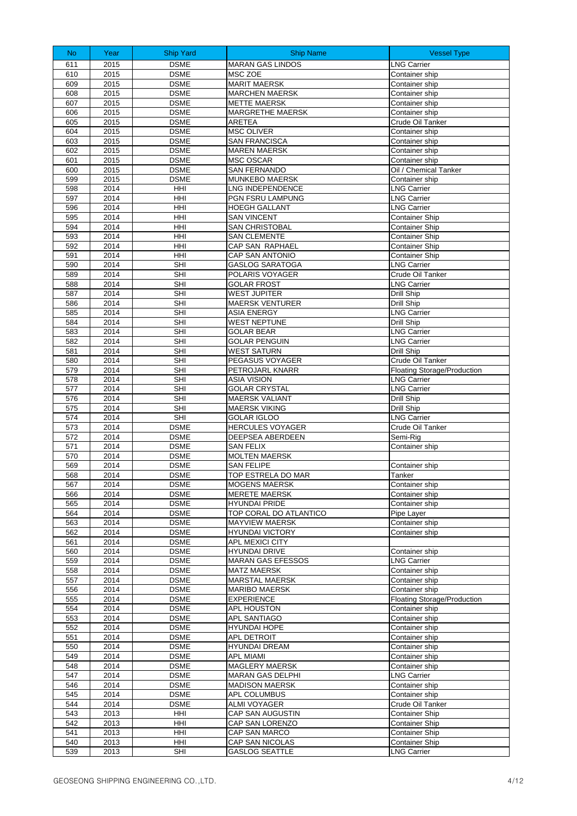| No.        | Year         | <b>Ship Yard</b>           | <b>Ship Name</b>                                 | <b>Vessel Type</b>                                       |
|------------|--------------|----------------------------|--------------------------------------------------|----------------------------------------------------------|
| 611        | 2015         | <b>DSME</b>                | <b>MARAN GAS LINDOS</b>                          | <b>LNG Carrier</b>                                       |
| 610        | 2015         | <b>DSME</b>                | MSC ZOE                                          | Container ship                                           |
| 609        | 2015         | <b>DSME</b>                | <b>MARIT MAERSK</b>                              | Container ship                                           |
| 608        | 2015         | <b>DSME</b>                | <b>MARCHEN MAERSK</b>                            | Container ship                                           |
| 607        | 2015         | <b>DSME</b>                | <b>METTE MAERSK</b>                              | Container ship                                           |
| 606<br>605 | 2015<br>2015 | <b>DSME</b><br><b>DSME</b> | MARGRETHE MAERSK<br><b>ARETEA</b>                | Container ship<br>Crude Oil Tanker                       |
| 604        | 2015         | <b>DSME</b>                | <b>MSC OLIVER</b>                                | Container ship                                           |
| 603        | 2015         | <b>DSME</b>                | <b>SAN FRANCISCA</b>                             | Container ship                                           |
| 602        | 2015         | <b>DSME</b>                | <b>MAREN MAERSK</b>                              | Container ship                                           |
| 601        | 2015         | <b>DSME</b>                | MSC OSCAR                                        | Container ship                                           |
| 600        | 2015         | <b>DSME</b>                | <b>SAN FERNANDO</b>                              | Oil / Chemical Tanker                                    |
| 599        | 2015         | <b>DSME</b>                | MUNKEBO MAERSK                                   | Container ship                                           |
| 598<br>597 | 2014         | HHI                        | <b>LNG INDEPENDENCE</b>                          | <b>LNG Carrier</b><br><b>LNG Carrier</b>                 |
| 596        | 2014<br>2014 | HHI<br>HHI                 | PGN FSRU LAMPUNG<br><b>HOEGH GALLANT</b>         | <b>LNG Carrier</b>                                       |
| 595        | 2014         | HHI                        | <b>SAN VINCENT</b>                               | <b>Container Ship</b>                                    |
| 594        | 2014         | HHI                        | <b>SAN CHRISTOBAL</b>                            | <b>Container Ship</b>                                    |
| 593        | 2014         | HHI                        | <b>SAN CLEMENTE</b>                              | <b>Container Ship</b>                                    |
| 592        | 2014         | HHI                        | CAP SAN RAPHAEL                                  | <b>Container Ship</b>                                    |
| 591        | 2014         | HHI                        | <b>CAP SAN ANTONIO</b>                           | <b>Container Ship</b>                                    |
| 590        | 2014         | <b>SHI</b>                 | <b>GASLOG SARATOGA</b>                           | <b>LNG Carrier</b>                                       |
| 589        | 2014         | <b>SHI</b>                 | POLARIS VOYAGER                                  | Crude Oil Tanker                                         |
| 588<br>587 | 2014<br>2014 | SHI<br><b>SHI</b>          | <b>GOLAR FROST</b><br><b>WEST JUPITER</b>        | <b>LNG Carrier</b><br>Drill Ship                         |
| 586        | 2014         | <b>SHI</b>                 | <b>MAERSK VENTURER</b>                           | Drill Ship                                               |
| 585        | 2014         | <b>SHI</b>                 | <b>ASIA ENERGY</b>                               | <b>LNG Carrier</b>                                       |
| 584        | 2014         | <b>SHI</b>                 | <b>WEST NEPTUNE</b>                              | Drill Ship                                               |
| 583        | 2014         | <b>SHI</b>                 | <b>GOLAR BEAR</b>                                | <b>LNG Carrier</b>                                       |
| 582        | 2014         | <b>SHI</b>                 | <b>GOLAR PENGUIN</b>                             | <b>LNG Carrier</b>                                       |
| 581        | 2014         | <b>SHI</b>                 | <b>WEST SATURN</b>                               | Drill Ship                                               |
| 580        | 2014         | <b>SHI</b>                 | PEGASUS VOYAGER                                  | Crude Oil Tanker                                         |
| 579<br>578 | 2014<br>2014 | <b>SHI</b><br><b>SHI</b>   | PETROJARL KNARR<br><b>ASIA VISION</b>            | <b>Floating Storage/Production</b><br><b>LNG Carrier</b> |
| 577        | 2014         | <b>SHI</b>                 | <b>GOLAR CRYSTAL</b>                             | <b>LNG Carrier</b>                                       |
| 576        | 2014         | <b>SHI</b>                 | <b>MAERSK VALIANT</b>                            | Drill Ship                                               |
| 575        | 2014         | SHI                        | <b>MAERSK VIKING</b>                             | Drill Ship                                               |
| 574        | 2014         | SHI                        | <b>GOLAR IGLOO</b>                               | <b>LNG Carrier</b>                                       |
| 573        | 2014         | <b>DSME</b>                | <b>HERCULES VOYAGER</b>                          | Crude Oil Tanker                                         |
| 572        | 2014         | <b>DSME</b>                | DEEPSEA ABERDEEN                                 | Semi-Rig                                                 |
| 571<br>570 | 2014<br>2014 | <b>DSME</b><br><b>DSME</b> | <b>SAN FELIX</b><br><b>MOLTEN MAERSK</b>         | Container ship                                           |
| 569        | 2014         | <b>DSME</b>                | <b>SAN FELIPE</b>                                | Container ship                                           |
| 568        | 2014         | <b>DSME</b>                | TOP ESTRELA DO MAR                               | Tanker                                                   |
| 567        | 2014         | <b>DSME</b>                | <b>MOGENS MAERSK</b>                             | Container ship                                           |
| 566        | 2014         | <b>DSME</b>                | <b>MERETE MAERSK</b>                             | Container ship                                           |
| 565        | 2014         | <b>DSME</b>                | HYUNDAI PRIDE                                    | Container ship                                           |
| 564        | 2014         | <b>DSME</b>                | TOP CORAL DO ATLANTICO                           | Pipe Layer                                               |
| 563<br>562 | 2014<br>2014 | <b>DSME</b><br><b>DSME</b> | <b>MAYVIEW MAERSK</b><br><b>HYUNDAI VICTORY</b>  | Container ship<br>Container ship                         |
| 561        | 2014         | <b>DSME</b>                | APL MEXICI CITY                                  |                                                          |
| 560        | 2014         | <b>DSME</b>                | <b>HYUNDAI DRIVE</b>                             | Container ship                                           |
| 559        | 2014         | <b>DSME</b>                | <b>MARAN GAS EFESSOS</b>                         | <b>LNG Carrier</b>                                       |
| 558        | 2014         | <b>DSME</b>                | <b>MATZ MAERSK</b>                               | Container ship                                           |
| 557        | 2014         | <b>DSME</b>                | <b>MARSTAL MAERSK</b>                            | Container ship                                           |
| 556        | 2014         | <b>DSME</b>                | <b>MARIBO MAERSK</b>                             | Container ship                                           |
| 555<br>554 | 2014<br>2014 | <b>DSME</b><br><b>DSME</b> | <b>EXPERIENCE</b><br>APL HOUSTON                 | <b>Floating Storage/Production</b><br>Container ship     |
| 553        | 2014         | <b>DSME</b>                | APL SANTIAGO                                     | Container ship                                           |
| 552        | 2014         | <b>DSME</b>                | HYUNDAI HOPE                                     | Container ship                                           |
| 551        | 2014         | <b>DSME</b>                | APL DETROIT                                      | Container ship                                           |
| 550        | 2014         | <b>DSME</b>                | <b>HYUNDAI DREAM</b>                             | Container ship                                           |
| 549        | 2014         | <b>DSME</b>                | APL MIAMI                                        | Container ship                                           |
| 548        | 2014         | <b>DSME</b>                | MAGLERY MAERSK                                   | Container ship                                           |
| 547<br>546 | 2014<br>2014 | <b>DSME</b><br><b>DSME</b> | <b>MARAN GAS DELPHI</b><br><b>MADISON MAERSK</b> | <b>LNG Carrier</b><br>Container ship                     |
| 545        | 2014         | <b>DSME</b>                | <b>APL COLUMBUS</b>                              | Container ship                                           |
| 544        | 2014         | <b>DSME</b>                | <b>ALMI VOYAGER</b>                              | Crude Oil Tanker                                         |
| 543        | 2013         | HHI                        | CAP SAN AUGUSTIN                                 | <b>Container Ship</b>                                    |
| 542        | 2013         | HHI                        | CAP SAN LORENZO                                  | <b>Container Ship</b>                                    |
| 541        | 2013         | HHI                        | CAP SAN MARCO                                    | <b>Container Ship</b>                                    |
| 540        | 2013         | HHI                        | CAP SAN NICOLAS                                  | <b>Container Ship</b>                                    |
| 539        | 2013         | SHI                        | <b>GASLOG SEATTLE</b>                            | <b>LNG Carrier</b>                                       |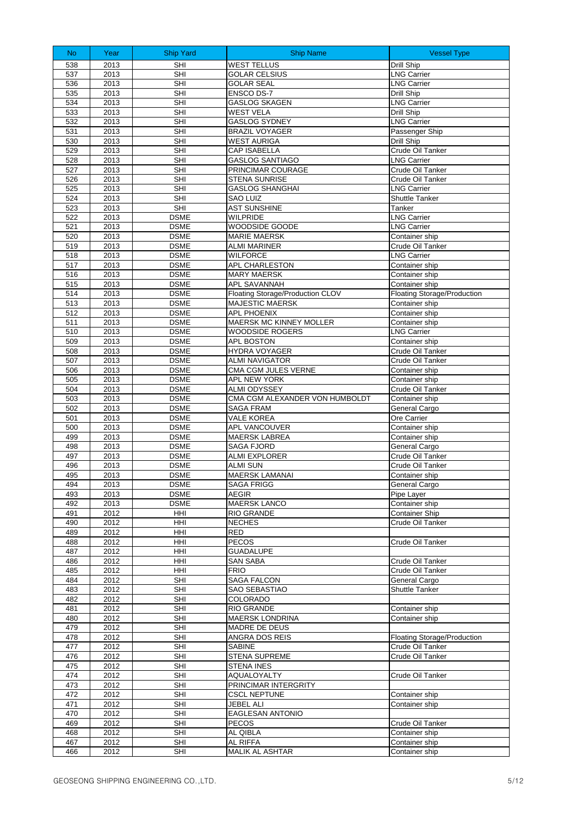| N <sub>o</sub> | Year         | <b>Ship Yard</b>           | <b>Ship Name</b>                                           | <b>Vessel Type</b>                                   |
|----------------|--------------|----------------------------|------------------------------------------------------------|------------------------------------------------------|
| 538            | 2013         | SHI                        | <b>WEST TELLUS</b>                                         | Drill Ship                                           |
| 537            | 2013         | <b>SHI</b>                 | <b>GOLAR CELSIUS</b>                                       | <b>LNG Carrier</b>                                   |
| 536            | 2013         | <b>SHI</b>                 | <b>GOLAR SEAL</b>                                          | <b>LNG Carrier</b>                                   |
| 535            | 2013         | SHI                        | ENSCO DS-7                                                 | Drill Ship                                           |
| 534            | 2013         | <b>SHI</b>                 | <b>GASLOG SKAGEN</b>                                       | <b>LNG Carrier</b>                                   |
| 533            | 2013         | <b>SHI</b>                 | <b>WEST VELA</b>                                           | Drill Ship                                           |
| 532            | 2013         | <b>SHI</b>                 | <b>GASLOG SYDNEY</b>                                       | <b>LNG Carrier</b>                                   |
| 531            | 2013         | SHI                        | <b>BRAZIL VOYAGER</b>                                      | Passenger Ship                                       |
| 530            | 2013         | <b>SHI</b>                 | <b>WEST AURIGA</b>                                         | Drill Ship                                           |
| 529<br>528     | 2013<br>2013 | <b>SHI</b><br><b>SHI</b>   | <b>CAP ISABELLA</b><br><b>GASLOG SANTIAGO</b>              | Crude Oil Tanker<br><b>LNG Carrier</b>               |
| 527            | 2013         | <b>SHI</b>                 | PRINCIMAR COURAGE                                          | Crude Oil Tanker                                     |
| 526            | 2013         | SHI                        | STENA SUNRISE                                              | Crude Oil Tanker                                     |
| 525            | 2013         | <b>SHI</b>                 | <b>GASLOG SHANGHAI</b>                                     | <b>LNG Carrier</b>                                   |
| 524            | 2013         | SHI                        | <b>SAO LUIZ</b>                                            | <b>Shuttle Tanker</b>                                |
| 523            | 2013         | <b>SHI</b>                 | <b>AST SUNSHINE</b>                                        | Tanker                                               |
| 522            | 2013         | <b>DSME</b>                | WILPRIDE                                                   | <b>LNG Carrier</b>                                   |
| 521            | 2013         | <b>DSME</b>                | WOODSIDE GOODE                                             | <b>LNG Carrier</b>                                   |
| 520            | 2013         | <b>DSME</b>                | <b>MARIE MAERSK</b>                                        | Container ship                                       |
| 519            | 2013         | <b>DSME</b>                | <b>ALMI MARINER</b>                                        | Crude Oil Tanker                                     |
| 518            | 2013         | <b>DSME</b>                | <b>WILFORCE</b>                                            | <b>LNG Carrier</b>                                   |
| 517            | 2013         | <b>DSME</b>                | APL CHARLESTON                                             | Container ship                                       |
| 516            | 2013         | <b>DSME</b>                | <b>MARY MAERSK</b>                                         | Container ship                                       |
| 515<br>514     | 2013<br>2013 | <b>DSME</b><br><b>DSME</b> | APL SAVANNAH                                               | Container ship                                       |
| 513            | 2013         | <b>DSME</b>                | Floating Storage/Production CLOV<br><b>MAJESTIC MAERSK</b> | <b>Floating Storage/Production</b><br>Container ship |
| 512            | 2013         | <b>DSME</b>                | <b>APL PHOENIX</b>                                         | Container ship                                       |
| 511            | 2013         | <b>DSME</b>                | <b>MAERSK MC KINNEY MOLLER</b>                             | Container ship                                       |
| 510            | 2013         | <b>DSME</b>                | WOODSIDE ROGERS                                            | <b>LNG Carrier</b>                                   |
| 509            | 2013         | <b>DSME</b>                | APL BOSTON                                                 | Container ship                                       |
| 508            | 2013         | <b>DSME</b>                | <b>HYDRA VOYAGER</b>                                       | Crude Oil Tanker                                     |
| 507            | 2013         | <b>DSME</b>                | <b>ALMI NAVIGATOR</b>                                      | Crude Oil Tanker                                     |
| 506            | 2013         | <b>DSME</b>                | CMA CGM JULES VERNE                                        | Container ship                                       |
| 505            | 2013         | <b>DSME</b>                | APL NEW YORK                                               | Container ship                                       |
| 504            | 2013         | <b>DSME</b>                | <b>ALMI ODYSSEY</b>                                        | Crude Oil Tanker                                     |
| 503            | 2013         | <b>DSME</b>                | CMA CGM ALEXANDER VON HUMBOLDT                             | Container ship                                       |
| 502            | 2013         | <b>DSME</b>                | <b>SAGA FRAM</b>                                           | General Cargo                                        |
| 501<br>500     | 2013         | <b>DSME</b><br><b>DSME</b> | <b>VALE KOREA</b>                                          | Ore Carrier                                          |
| 499            | 2013<br>2013 | <b>DSME</b>                | <b>APL VANCOUVER</b><br><b>MAERSK LABREA</b>               | Container ship<br>Container ship                     |
| 498            | 2013         | <b>DSME</b>                | <b>SAGA FJORD</b>                                          | General Cargo                                        |
| 497            | 2013         | <b>DSME</b>                | <b>ALMI EXPLORER</b>                                       | Crude Oil Tanker                                     |
| 496            | 2013         | <b>DSME</b>                | <b>ALMI SUN</b>                                            | Crude Oil Tanker                                     |
| 495            | 2013         | <b>DSME</b>                | <b>MAERSK LAMANAI</b>                                      | Container ship                                       |
| 494            | 2013         | <b>DSME</b>                | <b>SAGA FRIGG</b>                                          | General Cargo                                        |
| 493            | 2013         | <b>DSME</b>                | AEGIR                                                      | Pipe Layer                                           |
| 492            | 2013         | <b>DSME</b>                | <b>MAERSK LANCO</b>                                        | Container ship                                       |
| 491            | 2012         | HHI                        | RIO GRANDE                                                 | <b>Container Ship</b>                                |
| 490            | 2012         | HHI                        | <b>NECHES</b>                                              | Crude Oil Tanker                                     |
| 489            | 2012         | HHI                        | RED                                                        |                                                      |
| 488<br>487     | 2012<br>2012 | HHI<br>HHI                 | <b>PECOS</b><br><b>GUADALUPE</b>                           | Crude Oil Tanker                                     |
| 486            | 2012         | HHI                        | <b>SAN SABA</b>                                            | Crude Oil Tanker                                     |
| 485            | 2012         | HHI                        | <b>FRIO</b>                                                | Crude Oil Tanker                                     |
| 484            | 2012         | <b>SHI</b>                 | <b>SAGA FALCON</b>                                         | General Cargo                                        |
| 483            | 2012         | <b>SHI</b>                 | SAO SEBASTIAO                                              | Shuttle Tanker                                       |
| 482            | 2012         | <b>SHI</b>                 | COLORADO                                                   |                                                      |
| 481            | 2012         | <b>SHI</b>                 | RIO GRANDE                                                 | Container ship                                       |
| 480            | 2012         | <b>SHI</b>                 | <b>MAERSK LONDRINA</b>                                     | Container ship                                       |
| 479            | 2012         | SHI                        | MADRE DE DEUS                                              |                                                      |
| 478            | 2012         | SHI                        | ANGRA DOS REIS                                             | Floating Storage/Production                          |
| 477            | 2012         | SHI                        | <b>SABINE</b>                                              | Crude Oil Tanker                                     |
| 476<br>475     | 2012<br>2012 | SHI<br><b>SHI</b>          | <b>STENA SUPREME</b><br><b>STENA INES</b>                  | Crude Oil Tanker                                     |
| 474            | 2012         | SHI                        | <b>AQUALOYALTY</b>                                         | Crude Oil Tanker                                     |
| 473            | 2012         | <b>SHI</b>                 | PRINCIMAR INTERGRITY                                       |                                                      |
| 472            | 2012         | <b>SHI</b>                 | <b>CSCL NEPTUNE</b>                                        | Container ship                                       |
| 471            | 2012         | SHI                        | <b>JEBEL ALI</b>                                           | Container ship                                       |
| 470            | 2012         | SHI                        | <b>EAGLESAN ANTONIO</b>                                    |                                                      |
| 469            | 2012         | <b>SHI</b>                 | PECOS                                                      | Crude Oil Tanker                                     |
| 468            | 2012         | SHI                        | AL QIBLA                                                   | Container ship                                       |
| 467            | 2012         | SHI                        | AL RIFFA                                                   | Container ship                                       |
| 466            | 2012         | SHI                        | MALIK AL ASHTAR                                            | Container ship                                       |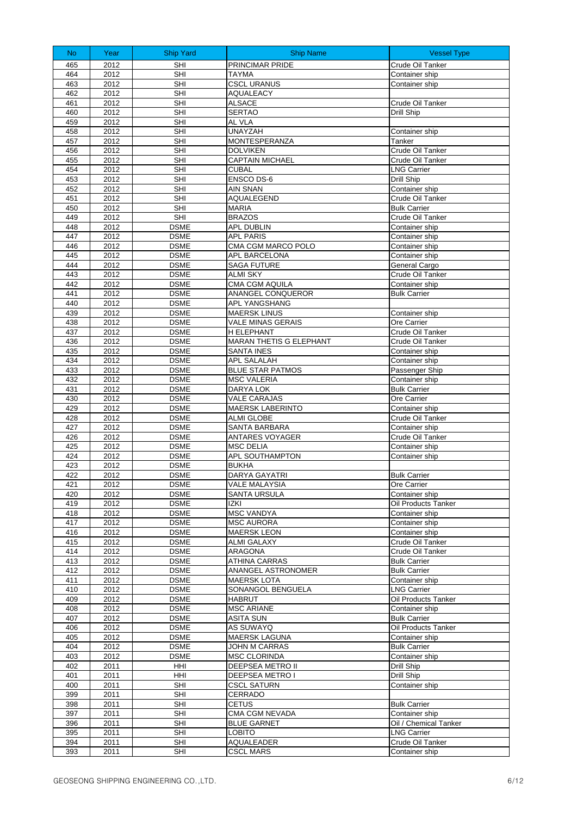| No         | Year         | <b>Ship Yard</b>           | <b>Ship Name</b>                              | <b>Vessel Type</b>                    |
|------------|--------------|----------------------------|-----------------------------------------------|---------------------------------------|
| 465        | 2012         | SHI                        | PRINCIMAR PRIDE                               | Crude Oil Tanker                      |
| 464        | 2012         | <b>SHI</b>                 | <b>TAYMA</b>                                  | Container ship                        |
| 463        | 2012         | <b>SHI</b>                 | <b>CSCL URANUS</b>                            | Container ship                        |
| 462        | 2012         | <b>SHI</b>                 | <b>AQUALEACY</b>                              |                                       |
| 461<br>460 | 2012         | <b>SHI</b><br><b>SHI</b>   | <b>ALSACE</b>                                 | Crude Oil Tanker                      |
| 459        | 2012<br>2012 | <b>SHI</b>                 | <b>SERTAO</b><br>AL VLA                       | Drill Ship                            |
| 458        | 2012         | <b>SHI</b>                 | <b>UNAYZAH</b>                                | Container ship                        |
| 457        | 2012         | <b>SHI</b>                 | <b>MONTESPERANZA</b>                          | Tanker                                |
| 456        | 2012         | SHI                        | <b>DOLVIKEN</b>                               | Crude Oil Tanker                      |
| 455        | 2012         | <b>SHI</b>                 | <b>CAPTAIN MICHAEL</b>                        | Crude Oil Tanker                      |
| 454        | 2012         | <b>SHI</b>                 | <b>CUBAL</b>                                  | <b>LNG Carrier</b>                    |
| 453        | 2012         | SHI                        | ENSCO DS-6                                    | Drill Ship                            |
| 452        | 2012<br>2012 | <b>SHI</b>                 | <b>AIN SNAN</b>                               | Container ship<br>Crude Oil Tanker    |
| 451<br>450 | 2012         | <b>SHI</b><br><b>SHI</b>   | AQUALEGEND<br><b>MARIA</b>                    | <b>Bulk Carrier</b>                   |
| 449        | 2012         | <b>SHI</b>                 | <b>BRAZOS</b>                                 | Crude Oil Tanker                      |
| 448        | 2012         | <b>DSME</b>                | APL DUBLIN                                    | Container ship                        |
| 447        | 2012         | <b>DSME</b>                | <b>APL PARIS</b>                              | Container ship                        |
| 446        | 2012         | <b>DSME</b>                | CMA CGM MARCO POLO                            | Container ship                        |
| 445        | 2012         | <b>DSME</b>                | APL BARCELONA                                 | Container ship                        |
| 444        | 2012         | <b>DSME</b>                | <b>SAGA FUTURE</b>                            | General Cargo                         |
| 443<br>442 | 2012         | <b>DSME</b>                | <b>ALMI SKY</b>                               | Crude Oil Tanker                      |
| 441        | 2012<br>2012 | <b>DSME</b><br><b>DSME</b> | CMA CGM AQUILA<br>ANANGEL CONQUEROR           | Container ship<br><b>Bulk Carrier</b> |
| 440        | 2012         | <b>DSME</b>                | APL YANGSHANG                                 |                                       |
| 439        | 2012         | <b>DSME</b>                | <b>MAERSK LINUS</b>                           | Container ship                        |
| 438        | 2012         | <b>DSME</b>                | VALE MINAS GERAIS                             | Ore Carrier                           |
| 437        | 2012         | <b>DSME</b>                | H ELEPHANT                                    | Crude Oil Tanker                      |
| 436        | 2012         | <b>DSME</b>                | <b>MARAN THETIS G ELEPHANT</b>                | Crude Oil Tanker                      |
| 435        | 2012         | <b>DSME</b>                | <b>SANTA INES</b>                             | Container ship                        |
| 434        | 2012         | <b>DSME</b>                | APL SALALAH                                   | Container ship                        |
| 433<br>432 | 2012<br>2012 | <b>DSME</b><br><b>DSME</b> | <b>BLUE STAR PATMOS</b><br><b>MSC VALERIA</b> | Passenger Ship<br>Container ship      |
| 431        | 2012         | <b>DSME</b>                | DARYA LOK                                     | <b>Bulk Carrier</b>                   |
| 430        | 2012         | <b>DSME</b>                | <b>VALE CARAJAS</b>                           | Ore Carrier                           |
| 429        | 2012         | <b>DSME</b>                | <b>MAERSK LABERINTO</b>                       | Container ship                        |
| 428        | 2012         | <b>DSME</b>                | <b>ALMI GLOBE</b>                             | Crude Oil Tanker                      |
| 427        | 2012         | <b>DSME</b>                | <b>SANTA BARBARA</b>                          | Container ship                        |
| 426        | 2012         | <b>DSME</b>                | ANTARES VOYAGER                               | Crude Oil Tanker                      |
| 425<br>424 | 2012<br>2012 | <b>DSME</b><br><b>DSME</b> | <b>MSC DELIA</b><br>APL SOUTHAMPTON           | Container ship                        |
| 423        | 2012         | <b>DSME</b>                | <b>BUKHA</b>                                  | Container ship                        |
| 422        | 2012         | <b>DSME</b>                | <b>DARYA GAYATRI</b>                          | <b>Bulk Carrier</b>                   |
| 421        | 2012         | <b>DSME</b>                | VALE MALAYSIA                                 | Ore Carrier                           |
| 420        | 2012         | <b>DSME</b>                | <b>SANTA URSULA</b>                           | Container ship                        |
| 419        | 2012         | <b>DSME</b>                | IZKI                                          | Oil Products Tanker                   |
| 418        | 2012         | <b>DSME</b>                | <b>MSC VANDYA</b>                             | Container ship                        |
| 417        | 2012         | <b>DSME</b>                | MSC AURORA                                    | Container ship                        |
| 416<br>415 | 2012<br>2012 | <b>DSME</b><br><b>DSME</b> | <b>MAERSK LEON</b><br>ALMI GALAXY             | Container ship<br>Crude Oil Tanker    |
| 414        | 2012         | <b>DSME</b>                | ARAGONA                                       | Crude Oil Tanker                      |
| 413        | 2012         | <b>DSME</b>                | ATHINA CARRAS                                 | <b>Bulk Carrier</b>                   |
| 412        | 2012         | <b>DSME</b>                | ANANGEL ASTRONOMER                            | <b>Bulk Carrier</b>                   |
| 411        | 2012         | <b>DSME</b>                | <b>MAERSK LOTA</b>                            | Container ship                        |
| 410        | 2012         | <b>DSME</b>                | SONANGOL BENGUELA                             | <b>LNG Carrier</b>                    |
| 409        | 2012         | <b>DSME</b>                | <b>HABRUT</b>                                 | Oil Products Tanker                   |
| 408<br>407 | 2012<br>2012 | <b>DSME</b><br><b>DSME</b> | <b>MSC ARIANE</b><br><b>ASITA SUN</b>         | Container ship<br><b>Bulk Carrier</b> |
| 406        | 2012         | <b>DSME</b>                | AS SUWAYQ                                     | Oil Products Tanker                   |
| 405        | 2012         | <b>DSME</b>                | MAERSK LAGUNA                                 | Container ship                        |
| 404        | 2012         | <b>DSME</b>                | JOHN M CARRAS                                 | <b>Bulk Carrier</b>                   |
| 403        | 2012         | <b>DSME</b>                | MSC CLORINDA                                  | Container ship                        |
| 402        | 2011         | HHI                        | DEEPSEA METRO II                              | Drill Ship                            |
| 401        | 2011         | HHI                        | DEEPSEA METRO I                               | Drill Ship                            |
| 400        | 2011         | SHI                        | <b>CSCL SATURN</b>                            | Container ship                        |
| 399<br>398 | 2011<br>2011 | <b>SHI</b><br>SHI          | CERRADO<br><b>CETUS</b>                       | <b>Bulk Carrier</b>                   |
| 397        | 2011         | SHI                        | CMA CGM NEVADA                                | Container ship                        |
| 396        | 2011         | SHI                        | <b>BLUE GARNET</b>                            | Oil / Chemical Tanker                 |
| 395        | 2011         | SHI                        | LOBITO                                        | <b>LNG Carrier</b>                    |
| 394        | 2011         | SHI                        | <b>AQUALEADER</b>                             | Crude Oil Tanker                      |
| 393        | 2011         | SHI                        | <b>CSCL MARS</b>                              | Container ship                        |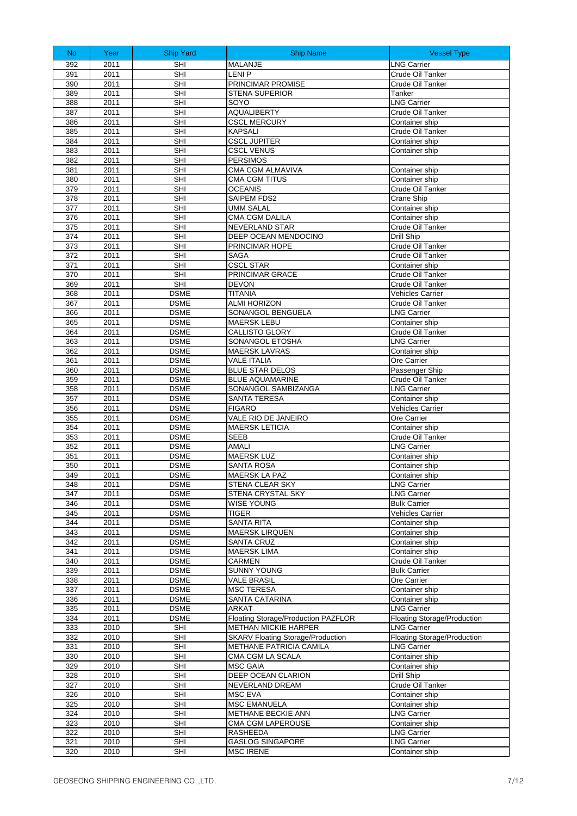| N <sub>o</sub> | Year         | <b>Ship Yard</b>           | <b>Ship Name</b>                             | <b>Vessel Type</b>                          |
|----------------|--------------|----------------------------|----------------------------------------------|---------------------------------------------|
| 392            | 2011         | SHI                        | MALANJE                                      | <b>LNG Carrier</b>                          |
| 391            | 2011         | <b>SHI</b>                 | <b>LENIP</b>                                 | Crude Oil Tanker                            |
| 390            | 2011         | <b>SHI</b>                 | PRINCIMAR PROMISE                            | Crude Oil Tanker                            |
| 389            | 2011         | SHI                        | <b>STENA SUPERIOR</b>                        | Tanker                                      |
| 388            | 2011         | <b>SHI</b>                 | SOYO                                         | <b>LNG Carrier</b>                          |
| 387            | 2011         | <b>SHI</b>                 | <b>AQUALIBERTY</b>                           | Crude Oil Tanker                            |
| 386            | 2011         | <b>SHI</b>                 | <b>CSCL MERCURY</b>                          | Container ship                              |
| 385            | 2011         | <b>SHI</b>                 | <b>KAPSALI</b>                               | Crude Oil Tanker                            |
| 384            | 2011         | <b>SHI</b>                 | <b>CSCL JUPITER</b>                          | Container ship                              |
| 383<br>382     | 2011<br>2011 | <b>SHI</b><br><b>SHI</b>   | <b>CSCL VENUS</b><br><b>PERSIMOS</b>         | Container ship                              |
| 381            | 2011         | <b>SHI</b>                 | CMA CGM ALMAVIVA                             | Container ship                              |
| 380            | 2011         | <b>SHI</b>                 | <b>CMA CGM TITUS</b>                         | Container ship                              |
| 379            | 2011         | <b>SHI</b>                 | <b>OCEANIS</b>                               | Crude Oil Tanker                            |
| 378            | 2011         | <b>SHI</b>                 | SAIPEM FDS2                                  | Crane Ship                                  |
| 377            | 2011         | <b>SHI</b>                 | <b>UMM SALAL</b>                             | Container ship                              |
| 376            | 2011         | <b>SHI</b>                 | <b>CMA CGM DALILA</b>                        | Container ship                              |
| 375            | 2011         | SHI                        | NEVERLAND STAR                               | Crude Oil Tanker                            |
| 374            | 2011         | <b>SHI</b>                 | DEEP OCEAN MENDOCINO                         | Drill Ship                                  |
| 373            | 2011         | <b>SHI</b>                 | PRINCIMAR HOPE                               | Crude Oil Tanker                            |
| 372            | 2011         | <b>SHI</b>                 | <b>SAGA</b>                                  | Crude Oil Tanker                            |
| 371            | 2011         | <b>SHI</b>                 | <b>CSCL STAR</b>                             | Container ship                              |
| 370            | 2011         | <b>SHI</b>                 | PRINCIMAR GRACE                              | Crude Oil Tanker                            |
| 369            | 2011<br>2011 | <b>SHI</b><br><b>DSME</b>  | <b>DEVON</b><br><b>TITANIA</b>               | Crude Oil Tanker<br><b>Vehicles Carrier</b> |
| 368<br>367     | 2011         | <b>DSME</b>                | <b>ALMI HORIZON</b>                          | Crude Oil Tanker                            |
| 366            | 2011         | <b>DSME</b>                | SONANGOL BENGUELA                            | <b>LNG Carrier</b>                          |
| 365            | 2011         | <b>DSME</b>                | <b>MAERSK LEBU</b>                           | Container ship                              |
| 364            | 2011         | <b>DSME</b>                | <b>CALLISTO GLORY</b>                        | Crude Oil Tanker                            |
| 363            | 2011         | <b>DSME</b>                | SONANGOL ETOSHA                              | <b>LNG Carrier</b>                          |
| 362            | 2011         | <b>DSME</b>                | <b>MAERSK LAVRAS</b>                         | Container ship                              |
| 361            | 2011         | <b>DSME</b>                | <b>VALE ITALIA</b>                           | Ore Carrier                                 |
| 360            | 2011         | <b>DSME</b>                | <b>BLUE STAR DELOS</b>                       | Passenger Ship                              |
| 359            | 2011         | <b>DSME</b>                | <b>BLUE AQUAMARINE</b>                       | Crude Oil Tanker                            |
| 358            | 2011         | <b>DSME</b>                | SONANGOL SAMBIZANGA                          | <b>LNG Carrier</b>                          |
| 357            | 2011         | <b>DSME</b>                | <b>SANTA TERESA</b>                          | Container ship                              |
| 356            | 2011         | <b>DSME</b>                | <b>FIGARO</b>                                | <b>Vehicles Carrier</b>                     |
| 355<br>354     | 2011<br>2011 | <b>DSME</b><br><b>DSME</b> | VALE RIO DE JANEIRO<br><b>MAERSK LETICIA</b> | Ore Carrier<br>Container ship               |
| 353            | 2011         | <b>DSME</b>                | <b>SEEB</b>                                  | Crude Oil Tanker                            |
| 352            | 2011         | <b>DSME</b>                | AMALI                                        | <b>LNG Carrier</b>                          |
| 351            | 2011         | <b>DSME</b>                | <b>MAERSK LUZ</b>                            | Container ship                              |
| 350            | 2011         | <b>DSME</b>                | <b>SANTA ROSA</b>                            | Container ship                              |
| 349            | 2011         | <b>DSME</b>                | <b>MAERSK LA PAZ</b>                         | Container ship                              |
| 348            | 2011         | <b>DSME</b>                | STENA CLEAR SKY                              | <b>LNG Carrier</b>                          |
| 347            | 2011         | <b>DSME</b>                | STENA CRYSTAL SKY                            | <b>LNG Carrier</b>                          |
| 346            | 2011         | <b>DSME</b>                | <b>WISE YOUNG</b>                            | <b>Bulk Carrier</b>                         |
| 345            | 2011         | <b>DSME</b>                | <b>TIGER</b>                                 | Vehicles Carrier                            |
| 344            | 2011         | <b>DSME</b>                | <b>SANTA RITA</b>                            | Container ship                              |
| 343            | 2011         | <b>DSME</b>                | <b>MAERSK LIRQUEN</b>                        | Container ship                              |
| 342<br>341     | 2011<br>2011 | <b>DSME</b><br><b>DSME</b> | SANTA CRUZ<br><b>MAERSK LIMA</b>             | Container ship<br>Container ship            |
| 340            | 2011         | <b>DSME</b>                | <b>CARMEN</b>                                | Crude Oil Tanker                            |
| 339            | 2011         | <b>DSME</b>                | SUNNY YOUNG                                  | <b>Bulk Carrier</b>                         |
| 338            | 2011         | <b>DSME</b>                | <b>VALE BRASIL</b>                           | Ore Carrier                                 |
| 337            | 2011         | <b>DSME</b>                | <b>MSC TERESA</b>                            | Container ship                              |
| 336            | 2011         | <b>DSME</b>                | SANTA CATARINA                               | Container ship                              |
| 335            | 2011         | <b>DSME</b>                | ARKAT                                        | <b>LNG Carrier</b>                          |
| 334            | 2011         | <b>DSME</b>                | Floating Storage/Production PAZFLOR          | <b>Floating Storage/Production</b>          |
| 333            | 2010         | <b>SHI</b>                 | <b>METHAN MICKIE HARPER</b>                  | <b>LNG Carrier</b>                          |
| 332            | 2010         | SHI                        | <b>SKARV Floating Storage/Production</b>     | <b>Floating Storage/Production</b>          |
| 331<br>330     | 2010<br>2010 | SHI<br>SHI                 | METHANE PATRICIA CAMILA<br>CMA CGM LA SCALA  | <b>LNG Carrier</b><br>Container ship        |
| 329            | 2010         | <b>SHI</b>                 | <b>MSC GAIA</b>                              | Container ship                              |
| 328            | 2010         | <b>SHI</b>                 | DEEP OCEAN CLARION                           | Drill Ship                                  |
| 327            | 2010         | <b>SHI</b>                 | NEVERLAND DREAM                              | Crude Oil Tanker                            |
| 326            | 2010         | <b>SHI</b>                 | <b>MSC EVA</b>                               | Container ship                              |
| 325            | 2010         | <b>SHI</b>                 | <b>MSC EMANUELA</b>                          | Container ship                              |
| 324            | 2010         | SHI                        | METHANE BECKIE ANN                           | <b>LNG Carrier</b>                          |
| 323            | 2010         | SHI                        | CMA CGM LAPEROUSE                            | Container ship                              |
| 322            | 2010         | <b>SHI</b>                 | RASHEEDA                                     | <b>LNG Carrier</b>                          |
| 321            | 2010         | <b>SHI</b>                 | <b>GASLOG SINGAPORE</b>                      | <b>LNG Carrier</b>                          |
| 320            | 2010         | <b>SHI</b>                 | <b>MSC IRENE</b>                             | Container ship                              |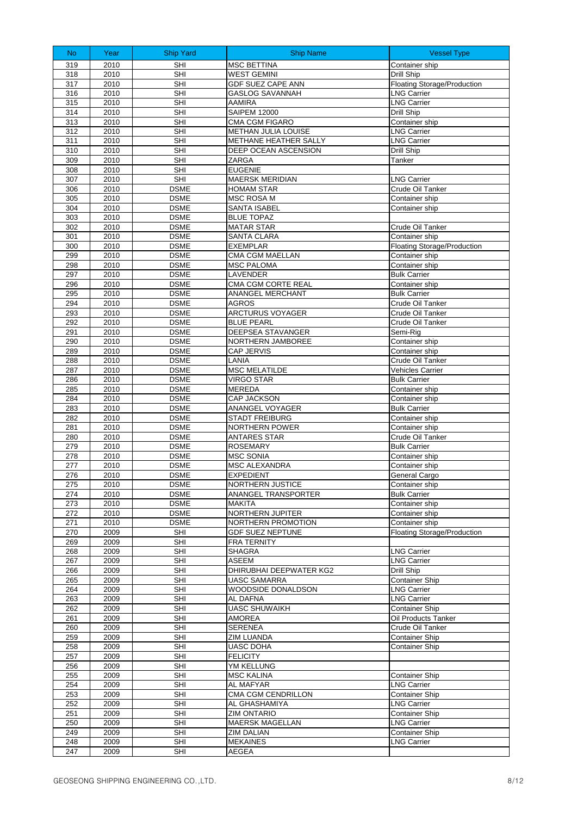| <b>No</b>  | Year         | <b>Ship Yard</b>           | <b>Ship Name</b>                          | <b>Vessel Type</b>                          |
|------------|--------------|----------------------------|-------------------------------------------|---------------------------------------------|
| 319        | 2010         | <b>SHI</b>                 | <b>MSC BETTINA</b>                        | Container ship                              |
| 318        | 2010         | SHI                        | <b>WEST GEMINI</b>                        | Drill Ship                                  |
| 317        | 2010         | SHI                        | <b>GDF SUEZ CAPE ANN</b>                  | Floating Storage/Production                 |
| 316        | 2010         | <b>SHI</b>                 | <b>GASLOG SAVANNAH</b>                    | <b>LNG Carrier</b>                          |
| 315        | 2010         | <b>SHI</b>                 | AAMIRA                                    | <b>LNG Carrier</b>                          |
| 314<br>313 | 2010<br>2010 | <b>SHI</b><br><b>SHI</b>   | <b>SAIPEM 12000</b><br>CMA CGM FIGARO     | Drill Ship<br>Container ship                |
| 312        | 2010         | <b>SHI</b>                 | <b>METHAN JULIA LOUISE</b>                | <b>LNG Carrier</b>                          |
| 311        | 2010         | SHI                        | METHANE HEATHER SALLY                     | <b>LNG Carrier</b>                          |
| 310        | 2010         | <b>SHI</b>                 | <b>DEEP OCEAN ASCENSION</b>               | Drill Ship                                  |
| 309        | 2010         | <b>SHI</b>                 | ZARGA                                     | Tanker                                      |
| 308        | 2010         | <b>SHI</b>                 | <b>EUGENIE</b>                            |                                             |
| 307        | 2010         | SHI                        | <b>MAERSK MERIDIAN</b>                    | <b>LNG Carrier</b>                          |
| 306        | 2010         | <b>DSME</b>                | <b>HOMAM STAR</b>                         | Crude Oil Tanker                            |
| 305<br>304 | 2010<br>2010 | <b>DSME</b><br><b>DSME</b> | <b>MSC ROSA M</b><br>SANTA ISABEL         | Container ship<br>Container ship            |
| 303        | 2010         | <b>DSME</b>                | <b>BLUE TOPAZ</b>                         |                                             |
| 302        | 2010         | <b>DSME</b>                | <b>MATAR STAR</b>                         | Crude Oil Tanker                            |
| 301        | 2010         | <b>DSME</b>                | <b>SANTA CLARA</b>                        | Container ship                              |
| 300        | 2010         | <b>DSME</b>                | <b>EXEMPLAR</b>                           | <b>Floating Storage/Production</b>          |
| 299        | 2010         | <b>DSME</b>                | CMA CGM MAELLAN                           | Container ship                              |
| 298        | 2010         | <b>DSME</b>                | <b>MSC PALOMA</b>                         | Container ship                              |
| 297        | 2010         | <b>DSME</b>                | LAVENDER                                  | <b>Bulk Carrier</b>                         |
| 296        | 2010         | <b>DSME</b>                | CMA CGM CORTE REAL                        | Container ship                              |
| 295        | 2010         | <b>DSME</b>                | ANANGEL MERCHANT                          | <b>Bulk Carrier</b>                         |
| 294<br>293 | 2010<br>2010 | <b>DSME</b><br><b>DSME</b> | <b>AGROS</b><br>ARCTURUS VOYAGER          | Crude Oil Tanker<br>Crude Oil Tanker        |
| 292        | 2010         | <b>DSME</b>                | <b>BLUE PEARL</b>                         | Crude Oil Tanker                            |
| 291        | 2010         | <b>DSME</b>                | DEEPSEA STAVANGER                         | Semi-Rig                                    |
| 290        | 2010         | <b>DSME</b>                | NORTHERN JAMBOREE                         | Container ship                              |
| 289        | 2010         | <b>DSME</b>                | CAP JERVIS                                | Container ship                              |
| 288        | 2010         | <b>DSME</b>                | LANIA                                     | Crude Oil Tanker                            |
| 287        | 2010         | <b>DSME</b>                | <b>MSC MELATILDE</b>                      | Vehicles Carrier                            |
| 286        | 2010         | <b>DSME</b>                | <b>VIRGO STAR</b>                         | <b>Bulk Carrier</b>                         |
| 285        | 2010         | <b>DSME</b>                | MEREDA                                    | Container ship                              |
| 284<br>283 | 2010<br>2010 | <b>DSME</b><br><b>DSME</b> | CAP JACKSON<br>ANANGEL VOYAGER            | Container ship<br><b>Bulk Carrier</b>       |
| 282        | 2010         | <b>DSME</b>                | <b>STADT FREIBURG</b>                     | Container ship                              |
| 281        | 2010         | <b>DSME</b>                | NORTHERN POWER                            | Container ship                              |
| 280        | 2010         | <b>DSME</b>                | <b>ANTARES STAR</b>                       | Crude Oil Tanker                            |
| 279        | 2010         | <b>DSME</b>                | ROSEMARY                                  | <b>Bulk Carrier</b>                         |
| 278        | 2010         | <b>DSME</b>                | <b>MSC SONIA</b>                          | Container ship                              |
| 277        | 2010         | <b>DSME</b>                | MSC ALEXANDRA                             | Container ship                              |
| 276        | 2010         | <b>DSME</b>                | <b>EXPEDIENT</b>                          | General Cargo                               |
| 275        | 2010         | <b>DSME</b>                | NORTHERN JUSTICE                          | Container ship                              |
| 274<br>273 | 2010<br>2010 | <b>DSME</b><br><b>DSME</b> | ANANGEL TRANSPORTER<br><b>MAKITA</b>      | <b>Bulk Carrier</b><br>Container ship       |
| 272        | 2010         | <b>DSME</b>                | NORTHERN JUPITER                          | Container ship                              |
| 271        | 2010         | <b>DSME</b>                | NORTHERN PROMOTION                        | Container ship                              |
| 270        | 2009         | SHI                        | <b>GDF SUEZ NEPTUNE</b>                   | Floating Storage/Production                 |
| 269        | 2009         | SHI                        | FRA TERNITY                               |                                             |
| 268        | 2009         | SHI                        | <b>SHAGRA</b>                             | LNG Carrier                                 |
| 267        | 2009         | SHI                        | ASEEM                                     | <b>LNG Carrier</b>                          |
| 266        | 2009         | SHI                        | DHIRUBHAI DEEPWATER KG2                   | Drill Ship                                  |
| 265<br>264 | 2009<br>2009 | SHI<br><b>SHI</b>          | <b>UASC SAMARRA</b><br>WOODSIDE DONALDSON | <b>Container Ship</b><br><b>LNG Carrier</b> |
| 263        | 2009         | SHI                        | AL DAFNA                                  | <b>LNG Carrier</b>                          |
| 262        | 2009         | SHI                        | <b>UASC SHUWAIKH</b>                      | Container Ship                              |
| 261        | 2009         | <b>SHI</b>                 | AMOREA                                    | Oil Products Tanker                         |
| 260        | 2009         | SHI                        | <b>SERENEA</b>                            | Crude Oil Tanker                            |
| 259        | 2009         | <b>SHI</b>                 | <b>ZIM LUANDA</b>                         | <b>Container Ship</b>                       |
| 258        | 2009         | SHI                        | <b>UASC DOHA</b>                          | <b>Container Ship</b>                       |
| 257        | 2009         | SHI                        | <b>FELICITY</b>                           |                                             |
| 256        | 2009         | SHI<br><b>SHI</b>          | YM KELLUNG                                |                                             |
| 255<br>254 | 2009<br>2009 | SHI                        | <b>MSC KALINA</b><br>AL MAFYAR            | <b>Container Ship</b><br><b>LNG Carrier</b> |
| 253        | 2009         | <b>SHI</b>                 | CMA CGM CENDRILLON                        | <b>Container Ship</b>                       |
| 252        | 2009         | SHI                        | AL GHASHAMIYA                             | <b>LNG Carrier</b>                          |
| 251        | 2009         | SHI                        | ZIM ONTARIO                               | <b>Container Ship</b>                       |
| 250        | 2009         | <b>SHI</b>                 | <b>MAERSK MAGELLAN</b>                    | <b>LNG Carrier</b>                          |
| 249        | 2009         | SHI                        | <b>ZIM DALIAN</b>                         | <b>Container Ship</b>                       |
| 248        | 2009         | SHI                        | <b>MEKAINES</b>                           | <b>LNG Carrier</b>                          |
| 247        | 2009         | SHI                        | AEGEA                                     |                                             |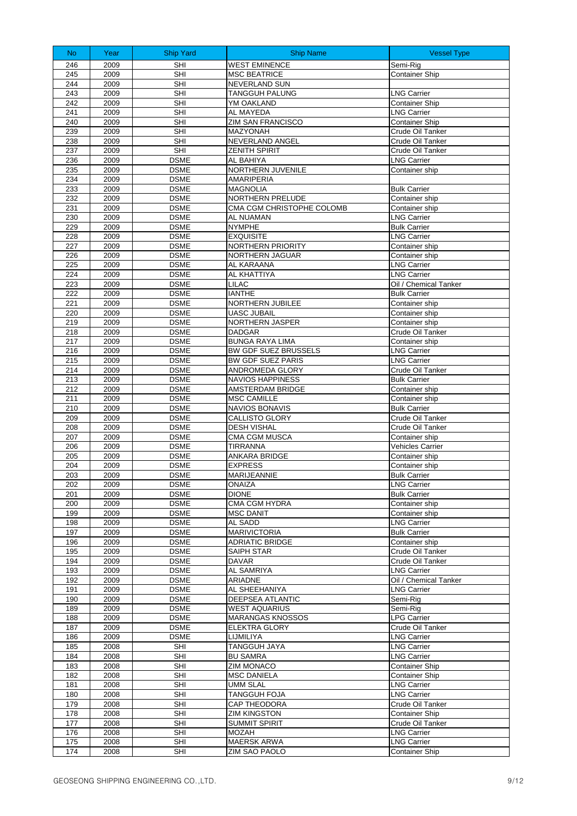| N <sub>o</sub> | Year         | <b>Ship Yard</b>           | <b>Ship Name</b>                   | <b>Vessel Type</b>                          |
|----------------|--------------|----------------------------|------------------------------------|---------------------------------------------|
| 246            | 2009         | <b>SHI</b>                 | <b>WEST EMINENCE</b>               | Semi-Rig                                    |
| 245            | 2009         | <b>SHI</b>                 | <b>MSC BEATRICE</b>                | <b>Container Ship</b>                       |
| 244            | 2009         | <b>SHI</b>                 | <b>NEVERLAND SUN</b>               |                                             |
| 243            | 2009         | <b>SHI</b>                 | TANGGUH PALUNG                     | <b>LNG Carrier</b>                          |
| 242            | 2009         | <b>SHI</b>                 | YM OAKLAND                         | <b>Container Ship</b>                       |
| 241            | 2009         | <b>SHI</b>                 | AL MAYEDA                          | <b>LNG Carrier</b>                          |
| 240            | 2009         | <b>SHI</b>                 | ZIM SAN FRANCISCO                  | <b>Container Ship</b>                       |
| 239            | 2009         | <b>SHI</b>                 | MAZYONAH                           | Crude Oil Tanker                            |
| 238            | 2009         | <b>SHI</b>                 | NEVERLAND ANGEL                    | Crude Oil Tanker                            |
| 237<br>236     | 2009<br>2009 | <b>SHI</b><br><b>DSME</b>  | <b>ZENITH SPIRIT</b><br>AL BAHIYA  | Crude Oil Tanker<br><b>LNG Carrier</b>      |
| 235            | 2009         | <b>DSME</b>                | NORTHERN JUVENILE                  | Container ship                              |
| 234            | 2009         | <b>DSME</b>                | <b>AMARIPERIA</b>                  |                                             |
| 233            | 2009         | <b>DSME</b>                | <b>MAGNOLIA</b>                    | <b>Bulk Carrier</b>                         |
| 232            | 2009         | <b>DSME</b>                | NORTHERN PRELUDE                   | Container ship                              |
| 231            | 2009         | <b>DSME</b>                | CMA CGM CHRISTOPHE COLOMB          | Container ship                              |
| 230            | 2009         | <b>DSME</b>                | AL NUAMAN                          | <b>LNG Carrier</b>                          |
| 229<br>228     | 2009<br>2009 | <b>DSME</b><br><b>DSME</b> | <b>NYMPHE</b><br><b>EXQUISITE</b>  | <b>Bulk Carrier</b><br><b>LNG Carrier</b>   |
| 227            | 2009         | <b>DSME</b>                | NORTHERN PRIORITY                  | Container ship                              |
| 226            | 2009         | <b>DSME</b>                | NORTHERN JAGUAR                    | Container ship                              |
| 225            | 2009         | <b>DSME</b>                | AL KARAANA                         | <b>LNG Carrier</b>                          |
| 224            | 2009         | <b>DSME</b>                | AL KHATTIYA                        | <b>LNG Carrier</b>                          |
| 223            | 2009         | <b>DSME</b>                | <b>LILAC</b>                       | Oil / Chemical Tanker                       |
| 222            | 2009         | <b>DSME</b>                | <b>IANTHE</b>                      | <b>Bulk Carrier</b>                         |
| 221            | 2009         | <b>DSME</b>                | NORTHERN JUBILEE                   | Container ship                              |
| 220            | 2009         | <b>DSME</b>                | <b>UASC JUBAIL</b>                 | Container ship                              |
| 219<br>218     | 2009<br>2009 | <b>DSME</b><br><b>DSME</b> | NORTHERN JASPER<br><b>DADGAR</b>   | Container ship<br>Crude Oil Tanker          |
| 217            | 2009         | <b>DSME</b>                | <b>BUNGA RAYA LIMA</b>             | Container ship                              |
| 216            | 2009         | <b>DSME</b>                | BW GDF SUEZ BRUSSELS               | <b>LNG Carrier</b>                          |
| 215            | 2009         | <b>DSME</b>                | BW GDF SUEZ PARIS                  | <b>LNG Carrier</b>                          |
| 214            | 2009         | <b>DSME</b>                | ANDROMEDA GLORY                    | Crude Oil Tanker                            |
| 213            | 2009         | <b>DSME</b>                | <b>NAVIOS HAPPINESS</b>            | <b>Bulk Carrier</b>                         |
| 212            | 2009         | <b>DSME</b>                | AMSTERDAM BRIDGE                   | Container ship                              |
| 211            | 2009         | <b>DSME</b>                | <b>MSC CAMILLE</b>                 | Container ship                              |
| 210<br>209     | 2009<br>2009 | <b>DSME</b><br><b>DSME</b> | NAVIOS BONAVIS<br>CALLISTO GLORY   | <b>Bulk Carrier</b><br>Crude Oil Tanker     |
| 208            | 2009         | <b>DSME</b>                | <b>DESH VISHAL</b>                 | Crude Oil Tanker                            |
| 207            | 2009         | <b>DSME</b>                | CMA CGM MUSCA                      | Container ship                              |
| 206            | 2009         | <b>DSME</b>                | <b>TIRRANNA</b>                    | Vehicles Carrier                            |
| 205            | 2009         | <b>DSME</b>                | ANKARA BRIDGE                      | Container ship                              |
| 204            | 2009         | <b>DSME</b>                | <b>EXPRESS</b>                     | Container ship                              |
| 203            | 2009         | <b>DSME</b>                | MARIJEANNIE                        | <b>Bulk Carrier</b>                         |
| 202            | 2009         | <b>DSME</b>                | ONAIZA                             | <b>LNG Carrier</b>                          |
| 201<br>200     | 2009<br>2009 | <b>DSME</b><br><b>DSME</b> | <b>DIONE</b><br>CMA CGM HYDRA      | <b>Bulk Carrier</b><br>Container ship       |
| 199            | 2009         | <b>DSME</b>                | <b>MSC DANIT</b>                   | Container ship                              |
| 198            | 2009         | <b>DSME</b>                | AL SADD                            | <b>LNG Carrier</b>                          |
| 197            | 2009         | <b>DSME</b>                | <b>MARIVICTORIA</b>                | <b>Bulk Carrier</b>                         |
| 196            | 2009         | <b>DSME</b>                | <b>ADRIATIC BRIDGE</b>             | Container ship                              |
| 195            | 2009         | <b>DSME</b>                | SAIPH STAR                         | Crude Oil Tanker                            |
| 194            | 2009         | <b>DSME</b>                | <b>DAVAR</b>                       | Crude Oil Tanker                            |
| 193<br>192     | 2009<br>2009 | <b>DSME</b><br><b>DSME</b> | AL SAMRIYA<br>ARIADNE              | <b>LNG Carrier</b><br>Oil / Chemical Tanker |
| 191            | 2009         | <b>DSME</b>                | AL SHEEHANIYA                      | <b>LNG Carrier</b>                          |
| 190            | 2009         | <b>DSME</b>                | DEEPSEA ATLANTIC                   | Semi-Rig                                    |
| 189            | 2009         | <b>DSME</b>                | <b>WEST AQUARIUS</b>               | Semi-Rig                                    |
| 188            | 2009         | <b>DSME</b>                | <b>MARANGAS KNOSSOS</b>            | <b>LPG Carrier</b>                          |
| 187            | 2009         | <b>DSME</b>                | <b>ELEKTRA GLORY</b>               | Crude Oil Tanker                            |
| 186            | 2009         | <b>DSME</b>                | LIJMILIYA                          | <b>LNG Carrier</b>                          |
| 185            | 2008         | SHI                        | <b>TANGGUH JAYA</b>                | <b>LNG Carrier</b>                          |
| 184<br>183     | 2008<br>2008 | SHI<br>SHI                 | <b>BU SAMRA</b><br>ZIM MONACO      | <b>LNG Carrier</b><br><b>Container Ship</b> |
| 182            | 2008         | SHI                        | <b>MSC DANIELA</b>                 | <b>Container Ship</b>                       |
| 181            | 2008         | <b>SHI</b>                 | <b>UMM SLAL</b>                    | <b>LNG Carrier</b>                          |
| 180            | 2008         | <b>SHI</b>                 | <b>TANGGUH FOJA</b>                | <b>LNG Carrier</b>                          |
| 179            | 2008         | <b>SHI</b>                 | <b>CAP THEODORA</b>                | Crude Oil Tanker                            |
| 178            | 2008         | SHI                        | <b>ZIM KINGSTON</b>                | <b>Container Ship</b>                       |
| 177            | 2008         | <b>SHI</b>                 | <b>SUMMIT SPIRIT</b>               | Crude Oil Tanker                            |
| 176<br>175     | 2008<br>2008 | <b>SHI</b><br>SHI          | <b>MOZAH</b><br><b>MAERSK ARWA</b> | <b>LNG Carrier</b>                          |
| 174            | 2008         | SHI                        | ZIM SAO PAOLO                      | <b>LNG Carrier</b><br><b>Container Ship</b> |
|                |              |                            |                                    |                                             |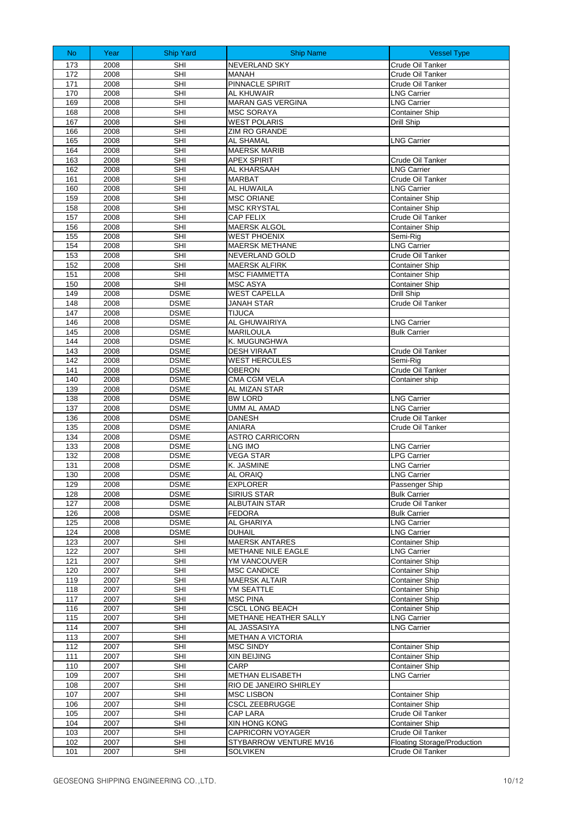| N <sub>o</sub> | Year         | <b>Ship Yard</b>           | <b>Ship Name</b>                                   | <b>Vessel Type</b>                                     |
|----------------|--------------|----------------------------|----------------------------------------------------|--------------------------------------------------------|
| 173            | 2008         | SHI                        | <b>NEVERLAND SKY</b>                               | Crude Oil Tanker                                       |
| 172            | 2008         | <b>SHI</b>                 | <b>MANAH</b>                                       | Crude Oil Tanker                                       |
| 171            | 2008         | <b>SHI</b>                 | PINNACLE SPIRIT                                    | Crude Oil Tanker                                       |
| 170            | 2008         | SHI                        | AL KHUWAIR                                         | <b>LNG Carrier</b>                                     |
| 169            | 2008         | <b>SHI</b><br><b>SHI</b>   | <b>MARAN GAS VERGINA</b>                           | <b>LNG Carrier</b>                                     |
| 168<br>167     | 2008<br>2008 | SHI                        | <b>MSC SORAYA</b><br><b>WEST POLARIS</b>           | <b>Container Ship</b><br>Drill Ship                    |
| 166            | 2008         | <b>SHI</b>                 | ZIM RO GRANDE                                      |                                                        |
| 165            | 2008         | <b>SHI</b>                 | <b>AL SHAMAL</b>                                   | <b>LNG Carrier</b>                                     |
| 164            | 2008         | <b>SHI</b>                 | <b>MAERSK MARIB</b>                                |                                                        |
| 163            | 2008         | <b>SHI</b>                 | <b>APEX SPIRIT</b>                                 | Crude Oil Tanker                                       |
| 162            | 2008         | <b>SHI</b>                 | AL KHARSAAH                                        | <b>LNG Carrier</b>                                     |
| 161            | 2008         | <b>SHI</b>                 | <b>MARBAT</b>                                      | Crude Oil Tanker                                       |
| 160            | 2008         | <b>SHI</b>                 | AL HUWAILA                                         | <b>LNG Carrier</b>                                     |
| 159<br>158     | 2008<br>2008 | <b>SHI</b><br><b>SHI</b>   | <b>MSC ORIANE</b><br><b>MSC KRYSTAL</b>            | <b>Container Ship</b><br><b>Container Ship</b>         |
| 157            | 2008         | <b>SHI</b>                 | <b>CAP FELIX</b>                                   | Crude Oil Tanker                                       |
| 156            | 2008         | SHI                        | MAERSK ALGOL                                       | <b>Container Ship</b>                                  |
| 155            | 2008         | <b>SHI</b>                 | <b>WEST PHOENIX</b>                                | Semi-Rig                                               |
| 154            | 2008         | <b>SHI</b>                 | <b>MAERSK METHANE</b>                              | <b>LNG Carrier</b>                                     |
| 153            | 2008         | <b>SHI</b>                 | <b>NEVERLAND GOLD</b>                              | Crude Oil Tanker                                       |
| 152            | 2008         | <b>SHI</b>                 | <b>MAERSK ALFIRK</b>                               | <b>Container Ship</b>                                  |
| 151            | 2008         | <b>SHI</b>                 | <b>MSC FIAMMETTA</b>                               | <b>Container Ship</b>                                  |
| 150            | 2008         | SHI                        | MSC ASYA                                           | <b>Container Ship</b>                                  |
| 149            | 2008         | <b>DSME</b>                | <b>WEST CAPELLA</b>                                | <b>Drill Ship</b><br>Crude Oil Tanker                  |
| 148<br>147     | 2008<br>2008 | <b>DSME</b><br><b>DSME</b> | JANAH STAR<br><b>TIJUCA</b>                        |                                                        |
| 146            | 2008         | <b>DSME</b>                | <b>AL GHUWAIRIYA</b>                               | <b>LNG Carrier</b>                                     |
| 145            | 2008         | <b>DSME</b>                | <b>MARILOULA</b>                                   | <b>Bulk Carrier</b>                                    |
| 144            | 2008         | <b>DSME</b>                | K. MUGUNGHWA                                       |                                                        |
| 143            | 2008         | <b>DSME</b>                | <b>DESH VIRAAT</b>                                 | Crude Oil Tanker                                       |
| 142            | 2008         | <b>DSME</b>                | <b>WEST HERCULES</b>                               | Semi-Rig                                               |
| 141            | 2008         | <b>DSME</b>                | <b>OBERON</b>                                      | Crude Oil Tanker                                       |
| 140            | 2008         | <b>DSME</b>                | <b>CMA CGM VELA</b>                                | Container ship                                         |
| 139<br>138     | 2008<br>2008 | <b>DSME</b><br><b>DSME</b> | AL MIZAN STAR<br><b>BW LORD</b>                    | <b>LNG Carrier</b>                                     |
| 137            | 2008         | <b>DSME</b>                | <b>UMM AL AMAD</b>                                 | <b>LNG Carrier</b>                                     |
| 136            | 2008         | <b>DSME</b>                | <b>DANESH</b>                                      | Crude Oil Tanker                                       |
| 135            | 2008         | <b>DSME</b>                | <b>ANIARA</b>                                      | Crude Oil Tanker                                       |
| 134            | 2008         | <b>DSME</b>                | <b>ASTRO CARRICORN</b>                             |                                                        |
| 133            | 2008         | <b>DSME</b>                | LNG IMO                                            | <b>LNG Carrier</b>                                     |
| 132            | 2008         | <b>DSME</b>                | <b>VEGA STAR</b>                                   | <b>LPG Carrier</b>                                     |
| 131<br>130     | 2008<br>2008 | <b>DSME</b><br><b>DSME</b> | K. JASMINE<br><b>AL ORAIQ</b>                      | <b>LNG Carrier</b><br><b>LNG Carrier</b>               |
| 129            | 2008         | <b>DSME</b>                | <b>EXPLORER</b>                                    | Passenger Ship                                         |
| 128            | 2008         | <b>DSME</b>                | <b>SIRIUS STAR</b>                                 | <b>Bulk Carrier</b>                                    |
| 127            | 2008         | <b>DSME</b>                | <b>ALBUTAIN STAR</b>                               | Crude Oil Tanker                                       |
| 126            | 2008         | <b>DSME</b>                | <b>FEDORA</b>                                      | <b>Bulk Carrier</b>                                    |
| 125            | 2008         | <b>DSME</b>                | AL GHARIYA                                         | <b>LNG Carrier</b>                                     |
| 124            | 2008         | <b>DSME</b>                | <b>DUHAIL</b>                                      | <b>LNG Carrier</b>                                     |
| 123            | 2007         | SHI                        | <b>MAERSK ANTARES</b>                              | Container Ship                                         |
| 122<br>121     | 2007<br>2007 | SHI<br><b>SHI</b>          | METHANE NILE EAGLE<br>YM VANCOUVER                 | <b>LNG Carrier</b><br><b>Container Ship</b>            |
| 120            | 2007         | SHI                        | <b>MSC CANDICE</b>                                 | <b>Container Ship</b>                                  |
| 119            | 2007         | SHI                        | <b>MAERSK ALTAIR</b>                               | Container Ship                                         |
| 118            | 2007         | <b>SHI</b>                 | YM SEATTLE                                         | <b>Container Ship</b>                                  |
| 117            | 2007         | SHI                        | <b>MSC PINA</b>                                    | <b>Container Ship</b>                                  |
| 116            | 2007         | SHI                        | <b>CSCL LONG BEACH</b>                             | <b>Container Ship</b>                                  |
| 115            | 2007         | <b>SHI</b>                 | METHANE HEATHER SALLY                              | <b>LNG Carrier</b>                                     |
| 114            | 2007         | SHI                        | AL JASSASIYA                                       | <b>LNG Carrier</b>                                     |
| 113<br>112     | 2007         | <b>SHI</b><br><b>SHI</b>   | <b>METHAN A VICTORIA</b><br><b>MSC SINDY</b>       |                                                        |
| 111            | 2007<br>2007 | SHI                        | XIN BEIJING                                        | <b>Container Ship</b><br><b>Container Ship</b>         |
| 110            | 2007         | SHI                        | CARP                                               | <b>Container Ship</b>                                  |
| 109            | 2007         | SHI                        | <b>METHAN ELISABETH</b>                            | <b>LNG Carrier</b>                                     |
| 108            | 2007         | SHI                        | RIO DE JANEIRO SHIRLEY                             |                                                        |
| 107            | 2007         | <b>SHI</b>                 | <b>MSC LISBON</b>                                  | <b>Container Ship</b>                                  |
| 106            | 2007         | SHI                        | <b>CSCL ZEEBRUGGE</b>                              | <b>Container Ship</b>                                  |
| 105            | 2007         | SHI                        | CAP LARA                                           | Crude Oil Tanker                                       |
| 104            | 2007         | SHI                        | XIN HONG KONG                                      | <b>Container Ship</b>                                  |
| 103<br>102     | 2007<br>2007 | SHI<br>SHI                 | <b>CAPRICORN VOYAGER</b><br>STYBARROW VENTURE MV16 | Crude Oil Tanker<br><b>Floating Storage/Production</b> |
| 101            | 2007         | <b>SHI</b>                 | <b>SOLVIKEN</b>                                    | Crude Oil Tanker                                       |
|                |              |                            |                                                    |                                                        |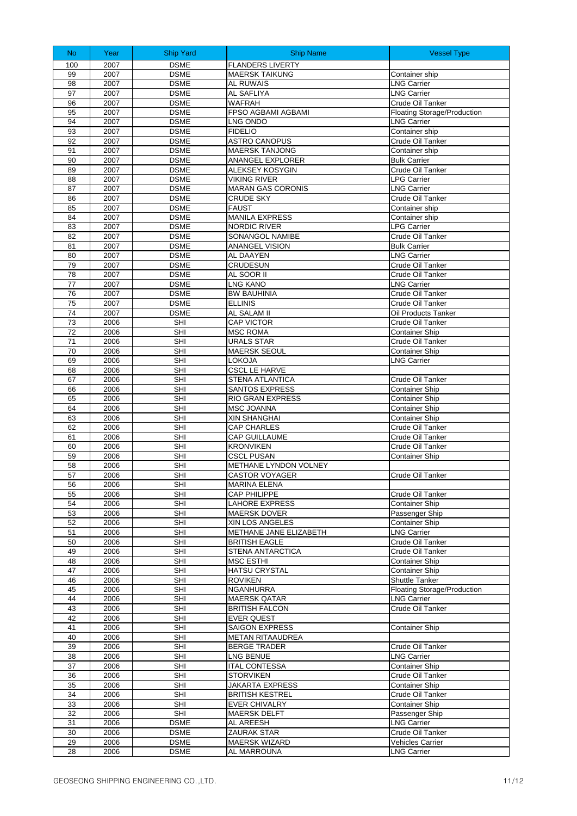| N <sub>o</sub> | Year         | <b>Ship Yard</b>           | <b>Ship Name</b>                             | <b>Vessel Type</b>                                       |
|----------------|--------------|----------------------------|----------------------------------------------|----------------------------------------------------------|
| 100            | 2007         | <b>DSME</b>                | <b>FLANDERS LIVERTY</b>                      |                                                          |
| 99             | 2007         | <b>DSME</b>                | <b>MAERSK TAIKUNG</b>                        | Container ship                                           |
| 98             | 2007         | <b>DSME</b>                | <b>AL RUWAIS</b>                             | <b>LNG Carrier</b>                                       |
| 97             | 2007         | <b>DSME</b>                | AL SAFLIYA                                   | <b>LNG Carrier</b>                                       |
| 96<br>95       | 2007         | <b>DSME</b><br><b>DSME</b> | <b>WAFRAH</b><br>FPSO AGBAMI AGBAMI          | Crude Oil Tanker                                         |
| 94             | 2007<br>2007 | <b>DSME</b>                | LNG ONDO                                     | Floating Storage/Production<br><b>LNG Carrier</b>        |
| 93             | 2007         | <b>DSME</b>                | <b>FIDELIO</b>                               | Container ship                                           |
| 92             | 2007         | <b>DSME</b>                | <b>ASTRO CANOPUS</b>                         | Crude Oil Tanker                                         |
| 91             | 2007         | <b>DSME</b>                | <b>MAERSK TANJONG</b>                        | Container ship                                           |
| 90             | 2007         | <b>DSME</b>                | ANANGEL EXPLORER                             | <b>Bulk Carrier</b>                                      |
| 89             | 2007         | <b>DSME</b>                | <b>ALEKSEY KOSYGIN</b>                       | Crude Oil Tanker                                         |
| 88             | 2007         | <b>DSME</b>                | <b>VIKING RIVER</b>                          | <b>LPG Carrier</b>                                       |
| 87             | 2007         | <b>DSME</b>                | <b>MARAN GAS CORONIS</b>                     | <b>LNG Carrier</b>                                       |
| 86             | 2007<br>2007 | <b>DSME</b><br><b>DSME</b> | <b>CRUDE SKY</b><br><b>FAUST</b>             | Crude Oil Tanker<br>Container ship                       |
| 85<br>84       | 2007         | <b>DSME</b>                | <b>MANILA EXPRESS</b>                        | Container ship                                           |
| 83             | 2007         | <b>DSME</b>                | NORDIC RIVER                                 | <b>LPG Carrier</b>                                       |
| 82             | 2007         | <b>DSME</b>                | SONANGOL NAMIBE                              | Crude Oil Tanker                                         |
| 81             | 2007         | <b>DSME</b>                | <b>ANANGEL VISION</b>                        | <b>Bulk Carrier</b>                                      |
| 80             | 2007         | <b>DSME</b>                | AL DAAYEN                                    | <b>LNG Carrier</b>                                       |
| 79             | 2007         | <b>DSME</b>                | CRUDESUN                                     | Crude Oil Tanker                                         |
| 78             | 2007         | <b>DSME</b>                | AL SOOR II                                   | Crude Oil Tanker                                         |
| 77             | 2007         | <b>DSME</b>                | <b>LNG KANO</b>                              | <b>LNG Carrier</b>                                       |
| 76             | 2007         | <b>DSME</b>                | <b>BW BAUHINIA</b>                           | Crude Oil Tanker                                         |
| 75             | 2007         | <b>DSME</b>                | <b>ELLINIS</b><br>AL SALAM II                | Crude Oil Tanker                                         |
| 74<br>73       | 2007<br>2006 | <b>DSME</b><br>SHI         | <b>CAP VICTOR</b>                            | Oil Products Tanker<br>Crude Oil Tanker                  |
| 72             | 2006         | <b>SHI</b>                 | <b>MSC ROMA</b>                              | <b>Container Ship</b>                                    |
| 71             | 2006         | <b>SHI</b>                 | <b>URALS STAR</b>                            | Crude Oil Tanker                                         |
| 70             | 2006         | <b>SHI</b>                 | <b>MAERSK SEOUL</b>                          | <b>Container Ship</b>                                    |
| 69             | 2006         | <b>SHI</b>                 | LOKOJA                                       | <b>LNG Carrier</b>                                       |
| 68             | 2006         | SHI                        | <b>CSCL LE HARVE</b>                         |                                                          |
| 67             | 2006         | <b>SHI</b>                 | STENA ATLANTICA                              | Crude Oil Tanker                                         |
| 66             | 2006         | <b>SHI</b>                 | SANTOS EXPRESS                               | <b>Container Ship</b>                                    |
| 65             | 2006         | <b>SHI</b>                 | <b>RIO GRAN EXPRESS</b>                      | <b>Container Ship</b>                                    |
| 64<br>63       | 2006<br>2006 | <b>SHI</b><br><b>SHI</b>   | MSC JOANNA<br><b>XIN SHANGHAI</b>            | <b>Container Ship</b><br><b>Container Ship</b>           |
| 62             | 2006         | <b>SHI</b>                 | <b>CAP CHARLES</b>                           | Crude Oil Tanker                                         |
| 61             | 2006         | <b>SHI</b>                 | CAP GUILLAUME                                | Crude Oil Tanker                                         |
| 60             | 2006         | <b>SHI</b>                 | <b>KRONVIKEN</b>                             | Crude Oil Tanker                                         |
| 59             | 2006         | <b>SHI</b>                 | <b>CSCL PUSAN</b>                            | <b>Container Ship</b>                                    |
| 58             | 2006         | <b>SHI</b>                 | <b>METHANE LYNDON VOLNEY</b>                 |                                                          |
| 57             | 2006         | <b>SHI</b>                 | <b>CASTOR VOYAGER</b>                        | Crude Oil Tanker                                         |
| 56             | 2006         | SHI                        | <b>MARINA ELENA</b>                          |                                                          |
| 55             | 2006         | SHI                        | CAP PHILIPPE                                 | Crude Oil Tanker                                         |
| 54<br>53       | 2006<br>2006 | SHI<br>SHI                 | <b>LAHORE EXPRESS</b><br><b>MAERSK DOVER</b> | Container Ship<br>Passenger Ship                         |
| 52             | 2006         | <b>SHI</b>                 | XIN LOS ANGELES                              | <b>Container Ship</b>                                    |
| 51             | 2006         | <b>SHI</b>                 | METHANE JANE ELIZABETH                       | <b>LNG Carrier</b>                                       |
| 50             | 2006         | SHI                        | <b>BRITISH EAGLE</b>                         | Crude Oil Tanker                                         |
| 49             | 2006         | SHI                        | <b>STENA ANTARCTICA</b>                      | Crude Oil Tanker                                         |
| 48             | 2006         | SHI                        | <b>MSC ESTHI</b>                             | <b>Container Ship</b>                                    |
| 47             | 2006         | SHI                        | <b>HATSU CRYSTAL</b>                         | Container Ship                                           |
| 46             | 2006         | SHI                        | ROVIKEN                                      | <b>Shuttle Tanker</b>                                    |
| 45<br>44       | 2006<br>2006 | <b>SHI</b><br>SHI          | NGANHURRA<br><b>MAERSK QATAR</b>             | <b>Floating Storage/Production</b><br><b>LNG Carrier</b> |
| 43             | 2006         | SHI                        | <b>BRITISH FALCON</b>                        | Crude Oil Tanker                                         |
| 42             | 2006         | SHI                        | EVER QUEST                                   |                                                          |
| 41             | 2006         | SHI                        | SAIGON EXPRESS                               | <b>Container Ship</b>                                    |
| 40             | 2006         | SHI                        | METAN RITAAUDREA                             |                                                          |
| 39             | 2006         | SHI                        | <b>BERGE TRADER</b>                          | Crude Oil Tanker                                         |
| 38             | 2006         | SHI                        | LNG BENUE                                    | <b>LNG Carrier</b>                                       |
| 37             | 2006         | <b>SHI</b>                 | <b>ITAL CONTESSA</b>                         | Container Ship                                           |
| 36             | 2006         | <b>SHI</b>                 | <b>STORVIKEN</b>                             | Crude Oil Tanker                                         |
| 35             | 2006         | SHI                        | <b>JAKARTA EXPRESS</b>                       | <b>Container Ship</b>                                    |
| 34             | 2006         | <b>SHI</b>                 | <b>BRITISH KESTREL</b>                       | Crude Oil Tanker                                         |
| 33<br>32       | 2006<br>2006 | <b>SHI</b><br>SHI          | <b>EVER CHIVALRY</b><br><b>MAERSK DELFT</b>  | Container Ship                                           |
| 31             | 2006         | <b>DSME</b>                | AL AREESH                                    | Passenger Ship<br><b>LNG Carrier</b>                     |
| 30             | 2006         | <b>DSME</b>                | ZAURAK STAR                                  | Crude Oil Tanker                                         |
| 29             | 2006         | <b>DSME</b>                | MAERSK WIZARD                                | Vehicles Carrier                                         |
| 28             | 2006         | <b>DSME</b>                | AL MARROUNA                                  | <b>LNG Carrier</b>                                       |